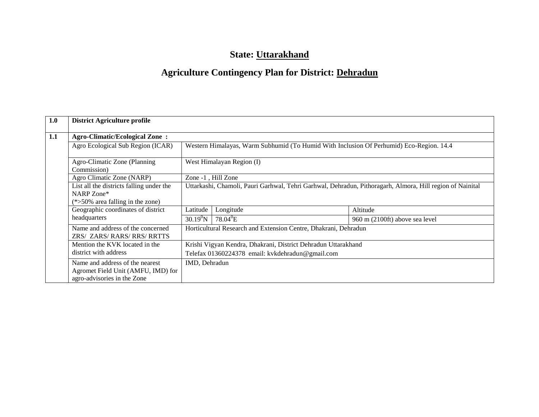# **State: Uttarakhand**

# **Agriculture Contingency Plan for District: Dehradun**

| 1.0 | <b>District Agriculture profile</b>                              |                                                  |                                                                 |                                                                                                           |  |  |  |
|-----|------------------------------------------------------------------|--------------------------------------------------|-----------------------------------------------------------------|-----------------------------------------------------------------------------------------------------------|--|--|--|
| 1.1 | <b>Agro-Climatic/Ecological Zone:</b>                            |                                                  |                                                                 |                                                                                                           |  |  |  |
|     | Agro Ecological Sub Region (ICAR)                                |                                                  |                                                                 | Western Himalayas, Warm Subhumid (To Humid With Inclusion Of Perhumid) Eco-Region. 14.4                   |  |  |  |
|     | Agro-Climatic Zone (Planning<br>Commission)                      | West Himalayan Region (I)                        |                                                                 |                                                                                                           |  |  |  |
|     | Agro Climatic Zone (NARP)                                        |                                                  | Zone -1, Hill Zone                                              |                                                                                                           |  |  |  |
|     | List all the districts falling under the                         |                                                  |                                                                 | Uttarkashi, Chamoli, Pauri Garhwal, Tehri Garhwal, Dehradun, Pithoragarh, Almora, Hill region of Nainital |  |  |  |
|     | NARP Zone*                                                       |                                                  |                                                                 |                                                                                                           |  |  |  |
|     | $(*>50\%$ area falling in the zone)                              |                                                  |                                                                 |                                                                                                           |  |  |  |
|     | Geographic coordinates of district                               | Latitude                                         | Longitude                                                       | Altitude                                                                                                  |  |  |  |
|     | headquarters                                                     | $30.19^{0}N$                                     | $78.04^{\circ}E$                                                | 960 m (2100ft) above sea level                                                                            |  |  |  |
|     | Name and address of the concerned<br>ZRS/ ZARS/ RARS/ RRS/ RRTTS |                                                  | Horticultural Research and Extension Centre, Dhakrani, Dehradun |                                                                                                           |  |  |  |
|     | Mention the KVK located in the                                   |                                                  | Krishi Vigyan Kendra, Dhakrani, District Dehradun Uttarakhand   |                                                                                                           |  |  |  |
|     | district with address                                            | Telefax 01360224378 email: kvkdehradun@gmail.com |                                                                 |                                                                                                           |  |  |  |
|     | Name and address of the nearest                                  | IMD, Dehradun                                    |                                                                 |                                                                                                           |  |  |  |
|     | Agromet Field Unit (AMFU, IMD) for                               |                                                  |                                                                 |                                                                                                           |  |  |  |
|     | agro-advisories in the Zone                                      |                                                  |                                                                 |                                                                                                           |  |  |  |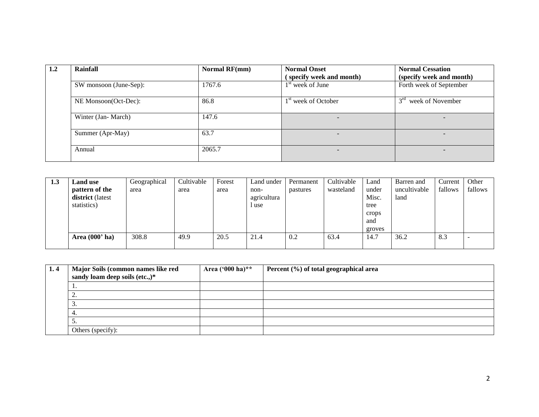| 1.2 | Rainfall               | Normal RF(mm) | <b>Normal Onset</b>             | <b>Normal Cessation</b>      |  |
|-----|------------------------|---------------|---------------------------------|------------------------------|--|
|     |                        |               | specify week and month)         | (specify week and month)     |  |
|     | SW monsoon (June-Sep): | 1767.6        | $1st$ week of June              | Forth week of September      |  |
|     | NE Monsoon(Oct-Dec):   | 86.8          | 1 <sup>st</sup> week of October | $3^{rd}$<br>week of November |  |
|     | Winter (Jan-March)     | 147.6         |                                 | $\overline{\phantom{a}}$     |  |
|     | Summer (Apr-May)       | 63.7          | -                               | $\overline{\phantom{a}}$     |  |
|     | Annual                 | 2065.7        |                                 | $\overline{\phantom{0}}$     |  |

| 1.3 | <b>Land use</b>  | Geographical | Cultivable | Forest | Land under  | Permanent | Cultivable | Land   | Barren and   | Current | Other   |
|-----|------------------|--------------|------------|--------|-------------|-----------|------------|--------|--------------|---------|---------|
|     | pattern of the   | area         | area       | area   | non-        | pastures  | wasteland  | under  | uncultivable | fallows | fallows |
|     | district (latest |              |            |        | agricultura |           |            | Misc.  | land         |         |         |
|     | statistics)      |              |            |        | luse        |           |            | tree   |              |         |         |
|     |                  |              |            |        |             |           |            | crops  |              |         |         |
|     |                  |              |            |        |             |           |            | and    |              |         |         |
|     |                  |              |            |        |             |           |            | groves |              |         |         |
|     | Area $(000'$ ha) | 308.8        | 49.9       | 20.5   | 21.4        | 0.2       | 63.4       | 14.7   | 36.2         | 8.3     |         |
|     |                  |              |            |        |             |           |            |        |              |         |         |

| 1.4 | Major Soils (common names like red | Area $(^{000}$ ha)** | Percent (%) of total geographical area |
|-----|------------------------------------|----------------------|----------------------------------------|
|     | sandy loam deep soils (etc.,)*     |                      |                                        |
|     | . .                                |                      |                                        |
|     | $\bigcap$<br><u>.</u>              |                      |                                        |
|     | .ر                                 |                      |                                        |
|     | 4.                                 |                      |                                        |
|     | $\overline{\phantom{a}}$           |                      |                                        |
|     | Others (specify):                  |                      |                                        |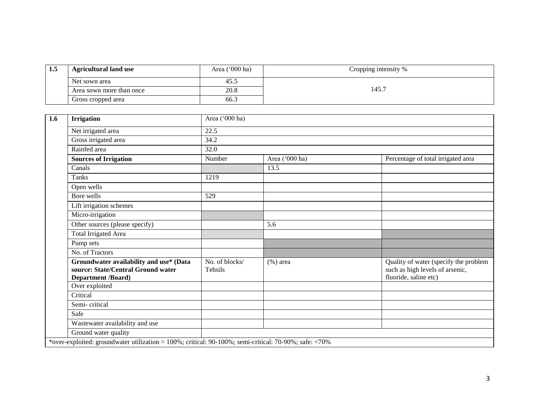| -1.5 | <b>Agricultural land use</b> | Area $('000 ha)$ | Cropping intensity % |
|------|------------------------------|------------------|----------------------|
|      | Net sown area                | 45.5             |                      |
|      | Area sown more than once     | 20.8             | .45.7                |
|      | Gross cropped area           | 66.3             |                      |

| <b>Irrigation</b>                                                                                     | Area ('000 ha)                   |                |                                                                                                   |  |  |  |  |
|-------------------------------------------------------------------------------------------------------|----------------------------------|----------------|---------------------------------------------------------------------------------------------------|--|--|--|--|
| Net irrigated area                                                                                    | 22.5                             |                |                                                                                                   |  |  |  |  |
| Gross irrigated area                                                                                  | 34.2                             |                |                                                                                                   |  |  |  |  |
| Rainfed area                                                                                          | 32.0                             |                |                                                                                                   |  |  |  |  |
| <b>Sources of Irrigation</b>                                                                          | Number                           | Area ('000 ha) | Percentage of total irrigated area                                                                |  |  |  |  |
| Canals                                                                                                |                                  | 13.5           |                                                                                                   |  |  |  |  |
| <b>Tanks</b>                                                                                          | 1219                             |                |                                                                                                   |  |  |  |  |
| Open wells                                                                                            |                                  |                |                                                                                                   |  |  |  |  |
| Bore wells                                                                                            | 529                              |                |                                                                                                   |  |  |  |  |
| Lift irrigation schemes                                                                               |                                  |                |                                                                                                   |  |  |  |  |
| Micro-irrigation                                                                                      |                                  |                |                                                                                                   |  |  |  |  |
| Other sources (please specify)                                                                        |                                  | 5.6            |                                                                                                   |  |  |  |  |
| <b>Total Irrigated Area</b>                                                                           |                                  |                |                                                                                                   |  |  |  |  |
| Pump sets                                                                                             |                                  |                |                                                                                                   |  |  |  |  |
| No. of Tractors                                                                                       |                                  |                |                                                                                                   |  |  |  |  |
| Groundwater availability and use* (Data<br>source: State/Central Ground water<br>Department /Board)   | No. of blocks/<br><b>Tehsils</b> | $(\% )$ area   | Quality of water (specify the problem<br>such as high levels of arsenic,<br>fluoride, saline etc) |  |  |  |  |
| Over exploited                                                                                        |                                  |                |                                                                                                   |  |  |  |  |
| Critical                                                                                              |                                  |                |                                                                                                   |  |  |  |  |
| Semi-critical                                                                                         |                                  |                |                                                                                                   |  |  |  |  |
| Safe                                                                                                  |                                  |                |                                                                                                   |  |  |  |  |
| Wastewater availability and use                                                                       |                                  |                |                                                                                                   |  |  |  |  |
| Ground water quality                                                                                  |                                  |                |                                                                                                   |  |  |  |  |
| *over-exploited: groundwater utilization > 100%; critical: 90-100%; semi-critical: 70-90%; safe: <70% |                                  |                |                                                                                                   |  |  |  |  |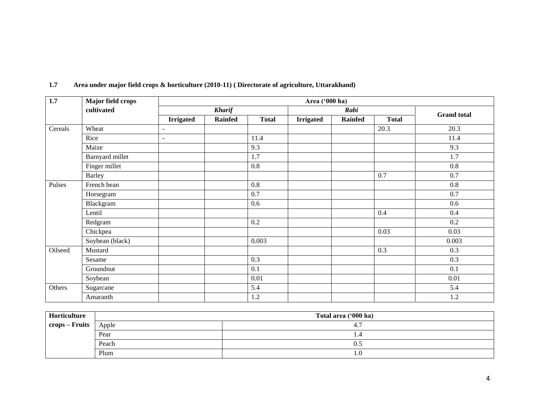| 1.7     | <b>Major field crops</b> |                   |                |              | Area ('000 ha)   |                |              |                    |
|---------|--------------------------|-------------------|----------------|--------------|------------------|----------------|--------------|--------------------|
|         | cultivated               |                   | <b>Kharif</b>  |              |                  | Rabi           |              | <b>Grand</b> total |
|         |                          | <b>Irrigated</b>  | <b>Rainfed</b> | <b>Total</b> | <b>Irrigated</b> | <b>Rainfed</b> | <b>Total</b> |                    |
| Cereals | Wheat                    | $\qquad \qquad -$ |                |              |                  |                | 20.3         | 20.3               |
|         | Rice                     | ٠                 |                | 11.4         |                  |                |              | 11.4               |
|         | Maize                    |                   |                | 9.3          |                  |                |              | 9.3                |
|         | Barnyard millet          |                   |                | 1.7          |                  |                |              | 1.7                |
|         | Finger millet            |                   |                | 0.8          |                  |                |              | 0.8                |
|         | <b>Barley</b>            |                   |                |              |                  |                | 0.7          | 0.7                |
| Pulses  | French bean              |                   |                | 0.8          |                  |                |              | 0.8                |
|         | Horsegram                |                   |                | 0.7          |                  |                |              | 0.7                |
|         | Blackgram                |                   |                | 0.6          |                  |                |              | 0.6                |
|         | Lentil                   |                   |                |              |                  |                | 0.4          | 0.4                |
|         | Redgram                  |                   |                | 0.2          |                  |                |              | 0.2                |
|         | Chickpea                 |                   |                |              |                  |                | 0.03         | 0.03               |
|         | Soybean (black)          |                   |                | 0.003        |                  |                |              | 0.003              |
| Oilseed | Mustard                  |                   |                |              |                  |                | 0.3          | 0.3                |
|         | Sesame                   |                   |                | 0.3          |                  |                |              | 0.3                |
|         | Groundnut                |                   |                | 0.1          |                  |                |              | 0.1                |
|         | Soybean                  |                   |                | 0.01         |                  |                |              | $0.01\,$           |
| Others  | Sugarcane                |                   |                | 5.4          |                  |                |              | 5.4                |
|         | Amaranth                 |                   |                | 1.2          |                  |                |              | 1.2                |

#### **1.7 Area under major field crops & horticulture (2010-11) ( Directorate of agriculture, Uttarakhand)**

| Horticulture   |       | Total area ('000 ha) |  |  |  |  |  |  |
|----------------|-------|----------------------|--|--|--|--|--|--|
| crops – Fruits | Apple | 4.,                  |  |  |  |  |  |  |
|                | Pear  | 1.4                  |  |  |  |  |  |  |
|                | Peach | U.J                  |  |  |  |  |  |  |
|                | Plum  | 1.0                  |  |  |  |  |  |  |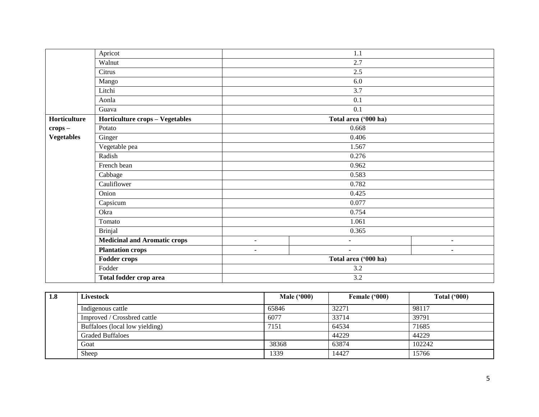|                   | Apricot                             |                      | 1.1                      |                |  |  |  |  |  |
|-------------------|-------------------------------------|----------------------|--------------------------|----------------|--|--|--|--|--|
|                   | Walnut                              |                      | 2.7                      |                |  |  |  |  |  |
|                   | Citrus                              |                      | 2.5                      |                |  |  |  |  |  |
|                   | Mango                               |                      | 6.0                      |                |  |  |  |  |  |
|                   | Litchi                              |                      | 3.7                      |                |  |  |  |  |  |
|                   | Aonla                               |                      | 0.1                      |                |  |  |  |  |  |
|                   | Guava                               |                      | 0.1                      |                |  |  |  |  |  |
| Horticulture      | Horticulture crops - Vegetables     |                      | Total area ('000 ha)     |                |  |  |  |  |  |
| $crops -$         | Potato                              |                      | 0.668                    |                |  |  |  |  |  |
| <b>Vegetables</b> | Ginger                              |                      | 0.406                    |                |  |  |  |  |  |
|                   | Vegetable pea                       |                      | 1.567                    |                |  |  |  |  |  |
|                   | Radish                              | 0.276                |                          |                |  |  |  |  |  |
|                   | French bean                         | 0.962                |                          |                |  |  |  |  |  |
|                   | Cabbage                             | 0.583                |                          |                |  |  |  |  |  |
|                   | Cauliflower                         |                      | 0.782                    |                |  |  |  |  |  |
|                   | Onion                               |                      | 0.425                    |                |  |  |  |  |  |
|                   | Capsicum                            |                      | 0.077                    |                |  |  |  |  |  |
|                   | Okra                                |                      | 0.754                    |                |  |  |  |  |  |
|                   | Tomato                              |                      | 1.061                    |                |  |  |  |  |  |
|                   | <b>Brinjal</b>                      |                      | 0.365                    |                |  |  |  |  |  |
|                   | <b>Medicinal and Aromatic crops</b> | $\blacksquare$       | $\overline{\phantom{0}}$ | $\blacksquare$ |  |  |  |  |  |
|                   | <b>Plantation crops</b>             | $\blacksquare$       | $\blacksquare$           | ٠              |  |  |  |  |  |
|                   | <b>Fodder crops</b>                 | Total area ('000 ha) |                          |                |  |  |  |  |  |
|                   | Fodder                              |                      | 3.2                      |                |  |  |  |  |  |
|                   | Total fodder crop area              | 3.2                  |                          |                |  |  |  |  |  |

| 1.8 | <b>Livestock</b>               | <b>Male ('000)</b> | Female ('000) | Total $(900)$ |  |
|-----|--------------------------------|--------------------|---------------|---------------|--|
|     | Indigenous cattle              | 65846              | 32271         | 98117         |  |
|     | Improved / Crossbred cattle    | 6077               | 33714         | 39791         |  |
|     | Buffaloes (local low yielding) | 7151               | 64534         | 71685         |  |
|     | <b>Graded Buffaloes</b>        |                    | 44229         | 44229         |  |
|     | Goat                           | 38368              | 63874         | 102242        |  |
|     | Sheep                          | 1339               | 14427         | 15766         |  |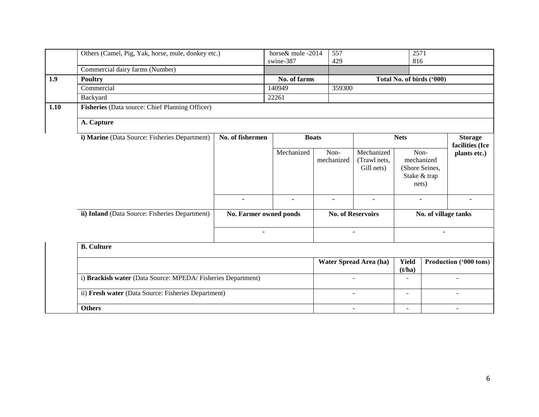|      | Others (Camel, Pig, Yak, horse, mule, donkey etc.)                | horse & mule -2014<br>swine-387 |  |                | 557<br>429 |                    |                                          | 2571<br>816               |                                                                               |                                   |
|------|-------------------------------------------------------------------|---------------------------------|--|----------------|------------|--------------------|------------------------------------------|---------------------------|-------------------------------------------------------------------------------|-----------------------------------|
|      | Commercial dairy farms (Number)                                   |                                 |  |                |            |                    |                                          |                           |                                                                               |                                   |
| 1.9  | <b>Poultry</b>                                                    |                                 |  | No. of farms   |            |                    |                                          | Total No. of birds ('000) |                                                                               |                                   |
|      | Commercial                                                        |                                 |  | 140949         |            | 359300             |                                          |                           |                                                                               |                                   |
|      | Backyard                                                          |                                 |  | 22261          |            |                    |                                          |                           |                                                                               |                                   |
| 1.10 | Fisheries (Data source: Chief Planning Officer)                   |                                 |  |                |            |                    |                                          |                           |                                                                               |                                   |
|      | A. Capture                                                        |                                 |  |                |            |                    |                                          |                           |                                                                               |                                   |
|      | i) Marine (Data Source: Fisheries Department)<br>No. of fishermen |                                 |  | <b>Boats</b>   |            |                    |                                          | <b>Nets</b>               |                                                                               | <b>Storage</b><br>facilities (Ice |
|      |                                                                   |                                 |  | Mechanized     |            | Non-<br>mechanized | Mechanized<br>(Trawl nets,<br>Gill nets) |                           | Non-<br>plants etc.)<br>mechanized<br>(Shore Seines,<br>Stake & trap<br>nets) |                                   |
|      |                                                                   | $\blacksquare$                  |  | $\blacksquare$ |            | ٠                  | ۰                                        | $\blacksquare$            |                                                                               | ٠                                 |
|      | ii) Inland (Data Source: Fisheries Department)                    | No. Farmer owned ponds          |  |                |            |                    | <b>No. of Reservoirs</b>                 |                           | No. of village tanks                                                          |                                   |
|      |                                                                   | $\blacksquare$                  |  |                |            |                    |                                          |                           |                                                                               |                                   |
|      | <b>B.</b> Culture                                                 |                                 |  |                |            |                    |                                          |                           |                                                                               |                                   |
|      |                                                                   |                                 |  |                |            |                    | Water Spread Area (ha)                   | <b>Yield</b><br>(t/ha)    | Production ('000 tons)                                                        |                                   |
|      | i) Brackish water (Data Source: MPEDA/Fisheries Department)       |                                 |  |                |            |                    |                                          |                           |                                                                               |                                   |
|      | ii) Fresh water (Data Source: Fisheries Department)               |                                 |  |                |            |                    |                                          | $\overline{\phantom{0}}$  |                                                                               |                                   |
|      | <b>Others</b>                                                     |                                 |  |                |            | $\blacksquare$     |                                          | $\blacksquare$            |                                                                               |                                   |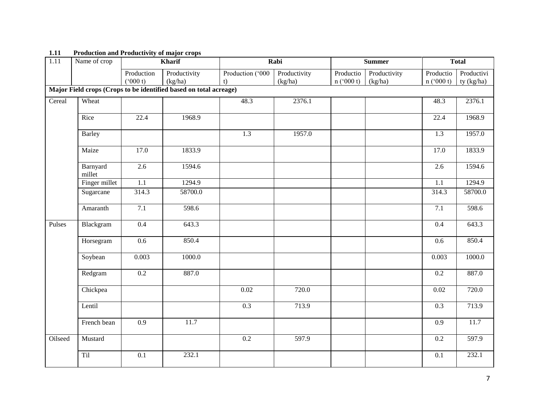| $\overline{1.11}$ | Name of crop       |                  | <b>Kharif</b>                                                     |                  | Rabi         |           | <b>Summer</b> |                   | <b>Total</b> |
|-------------------|--------------------|------------------|-------------------------------------------------------------------|------------------|--------------|-----------|---------------|-------------------|--------------|
|                   |                    | Production       | Productivity                                                      | Production ('000 | Productivity | Productio | Productivity  | Productio         | Productivi   |
|                   |                    | (000 t)          | (kg/ha)                                                           | t)               | (kg/ha)      | n (000 t) | (kg/ha)       | n (°000 t)        | ty (kg/ha)   |
|                   |                    |                  | Major Field crops (Crops to be identified based on total acreage) |                  |              |           |               |                   |              |
| Cereal            | Wheat              |                  |                                                                   | 48.3             | 2376.1       |           |               | 48.3              | 2376.1       |
|                   | Rice               | 22.4             | 1968.9                                                            |                  |              |           |               | $\overline{22.4}$ | 1968.9       |
|                   | <b>Barley</b>      |                  |                                                                   | $\overline{1.3}$ | 1957.0       |           |               | $\overline{1.3}$  | 1957.0       |
|                   | Maize              | 17.0             | 1833.9                                                            |                  |              |           |               | 17.0              | 1833.9       |
|                   | Barnyard<br>millet | 2.6              | 1594.6                                                            |                  |              |           |               | 2.6               | 1594.6       |
|                   | Finger millet      | $\overline{1.1}$ | 1294.9                                                            |                  |              |           |               | $\overline{1.1}$  | 1294.9       |
|                   | Sugarcane          | 314.3            | 58700.0                                                           |                  |              |           |               | 314.3             | 58700.0      |
|                   | Amaranth           | 7.1              | 598.6                                                             |                  |              |           |               | 7.1               | 598.6        |
| Pulses            | Blackgram          | $\overline{0.4}$ | 643.3                                                             |                  |              |           |               | $\overline{0.4}$  | 643.3        |
|                   | Horsegram          | 0.6              | 850.4                                                             |                  |              |           |               | 0.6               | 850.4        |
|                   | Soybean            | 0.003            | 1000.0                                                            |                  |              |           |               | 0.003             | 1000.0       |
|                   | Redgram            | 0.2              | 887.0                                                             |                  |              |           |               | 0.2               | 887.0        |
|                   | Chickpea           |                  |                                                                   | 0.02             | 720.0        |           |               | 0.02              | 720.0        |
|                   | Lentil             |                  |                                                                   | 0.3              | 713.9        |           |               | 0.3               | 713.9        |
|                   | French bean        | 0.9              | 11.7                                                              |                  |              |           |               | 0.9               | 11.7         |
| Oilseed           | Mustard            |                  |                                                                   | 0.2              | 597.9        |           |               | 0.2               | 597.9        |
|                   | Til                | 0.1              | 232.1                                                             |                  |              |           |               | 0.1               | 232.1        |
|                   |                    |                  |                                                                   |                  |              |           |               |                   |              |

## **1.11 Production and Productivity of major crops**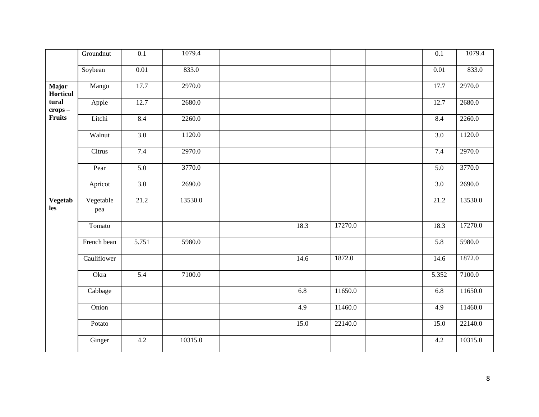|                       | Groundnut        | $\overline{0.1}$  | 1079.4  |                  |         | $\overline{0.1}$  | 1079.4  |
|-----------------------|------------------|-------------------|---------|------------------|---------|-------------------|---------|
|                       | Soybean          | $\overline{0.01}$ | 833.0   |                  |         | $\overline{0.01}$ | 833.0   |
| Major<br>Horticul     | Mango            | 17.7              | 2970.0  |                  |         | 17.7              | 2970.0  |
| tural<br>$crops -$    | Apple            | 12.7              | 2680.0  |                  |         | 12.7              | 2680.0  |
| Fruits                | Litchi           | 8.4               | 2260.0  |                  |         | 8.4               | 2260.0  |
|                       | Walnut           | $\overline{3.0}$  | 1120.0  |                  |         | 3.0               | 1120.0  |
|                       | Citrus           | 7.4               | 2970.0  |                  |         | 7.4               | 2970.0  |
|                       | Pear             | 5.0               | 3770.0  |                  |         | 5.0               | 3770.0  |
|                       | Apricot          | 3.0               | 2690.0  |                  |         | 3.0               | 2690.0  |
| <b>Vegetab</b><br>les | Vegetable<br>pea | 21.2              | 13530.0 |                  |         | 21.2              | 13530.0 |
|                       | Tomato           |                   |         | 18.3             | 17270.0 | 18.3              | 17270.0 |
|                       | French bean      | 5.751             | 5980.0  |                  |         | 5.8               | 5980.0  |
|                       | Cauliflower      |                   |         | 14.6             | 1872.0  | 14.6              | 1872.0  |
|                       | Okra             | $\overline{5.4}$  | 7100.0  |                  |         | 5.352             | 7100.0  |
|                       | Cabbage          |                   |         | 6.8              | 11650.0 | 6.8               | 11650.0 |
|                       | Onion            |                   |         | $\overline{4.9}$ | 11460.0 | 4.9               | 11460.0 |
|                       | Potato           |                   |         | 15.0             | 22140.0 | 15.0              | 22140.0 |
|                       | Ginger           | 4.2               | 10315.0 |                  |         | 4.2               | 10315.0 |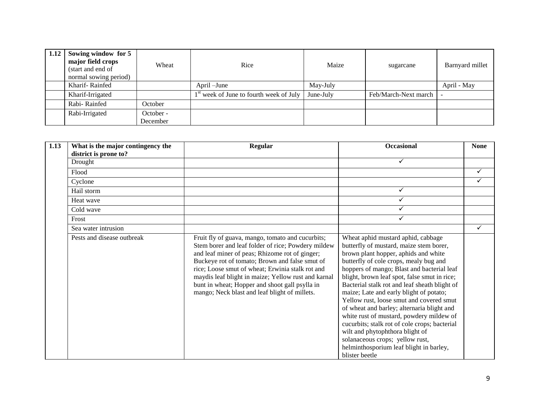| 1.12 | Sowing window for 5<br>major field crops<br>(start and end of<br>normal sowing period) | Wheat                 | Rice                                      | Maize     | sugarcane            | Barnyard millet |
|------|----------------------------------------------------------------------------------------|-----------------------|-------------------------------------------|-----------|----------------------|-----------------|
|      | Kharif-Rainfed                                                                         |                       | April –June                               | May-July  |                      | April - May     |
|      | Kharif-Irrigated                                                                       |                       | $1st$ week of June to fourth week of July | June-July | Feb/March-Next march |                 |
|      | Rabi-Rainfed                                                                           | October               |                                           |           |                      |                 |
|      | Rabi-Irrigated                                                                         | October -<br>December |                                           |           |                      |                 |

| 1.13 | What is the major contingency the<br>district is prone to? | <b>Regular</b>                                                                                                                                                                                                                                                                                                                                                                                                           | <b>Occasional</b>                                                                                                                                                                                                                                                                                                                                                                                                                                                                                                                                                                                                                                                                   | <b>None</b> |
|------|------------------------------------------------------------|--------------------------------------------------------------------------------------------------------------------------------------------------------------------------------------------------------------------------------------------------------------------------------------------------------------------------------------------------------------------------------------------------------------------------|-------------------------------------------------------------------------------------------------------------------------------------------------------------------------------------------------------------------------------------------------------------------------------------------------------------------------------------------------------------------------------------------------------------------------------------------------------------------------------------------------------------------------------------------------------------------------------------------------------------------------------------------------------------------------------------|-------------|
|      | Drought                                                    |                                                                                                                                                                                                                                                                                                                                                                                                                          | ✓                                                                                                                                                                                                                                                                                                                                                                                                                                                                                                                                                                                                                                                                                   |             |
|      | Flood                                                      |                                                                                                                                                                                                                                                                                                                                                                                                                          |                                                                                                                                                                                                                                                                                                                                                                                                                                                                                                                                                                                                                                                                                     | ✓           |
|      | Cyclone                                                    |                                                                                                                                                                                                                                                                                                                                                                                                                          |                                                                                                                                                                                                                                                                                                                                                                                                                                                                                                                                                                                                                                                                                     |             |
|      | Hail storm                                                 |                                                                                                                                                                                                                                                                                                                                                                                                                          | ✓                                                                                                                                                                                                                                                                                                                                                                                                                                                                                                                                                                                                                                                                                   |             |
|      | Heat wave                                                  |                                                                                                                                                                                                                                                                                                                                                                                                                          |                                                                                                                                                                                                                                                                                                                                                                                                                                                                                                                                                                                                                                                                                     |             |
|      | Cold wave                                                  |                                                                                                                                                                                                                                                                                                                                                                                                                          |                                                                                                                                                                                                                                                                                                                                                                                                                                                                                                                                                                                                                                                                                     |             |
|      | Frost                                                      |                                                                                                                                                                                                                                                                                                                                                                                                                          | ✓                                                                                                                                                                                                                                                                                                                                                                                                                                                                                                                                                                                                                                                                                   |             |
|      | Sea water intrusion                                        |                                                                                                                                                                                                                                                                                                                                                                                                                          |                                                                                                                                                                                                                                                                                                                                                                                                                                                                                                                                                                                                                                                                                     | ✓           |
|      | Pests and disease outbreak                                 | Fruit fly of guava, mango, tomato and cucurbits;<br>Stem borer and leaf folder of rice; Powdery mildew<br>and leaf miner of peas; Rhizome rot of ginger;<br>Buckeye rot of tomato; Brown and false smut of<br>rice; Loose smut of wheat; Erwinia stalk rot and<br>maydis leaf blight in maize; Yellow rust and karnal<br>bunt in wheat; Hopper and shoot gall psylla in<br>mango; Neck blast and leaf blight of millets. | Wheat aphid mustard aphid, cabbage<br>butterfly of mustard, maize stem borer,<br>brown plant hopper, aphids and white<br>butterfly of cole crops, mealy bug and<br>hoppers of mango; Blast and bacterial leaf<br>blight, brown leaf spot, false smut in rice;<br>Bacterial stalk rot and leaf sheath blight of<br>maize; Late and early blight of potato;<br>Yellow rust, loose smut and covered smut<br>of wheat and barley; alternaria blight and<br>white rust of mustard, powdery mildew of<br>cucurbits; stalk rot of cole crops; bacterial<br>wilt and phytophthora blight of<br>solanaceous crops; yellow rust,<br>helminthosporium leaf blight in barley,<br>blister beetle |             |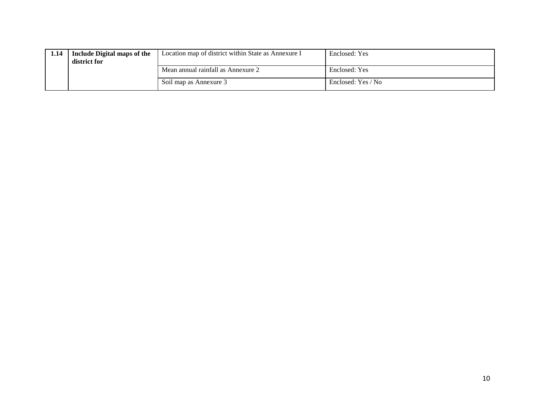| 1.14 | Include Digital maps of the<br>district for | Location map of district within State as Annexure I | Enclosed: Yes      |
|------|---------------------------------------------|-----------------------------------------------------|--------------------|
|      |                                             | Mean annual rainfall as Annexure 2                  | Enclosed: Yes      |
|      |                                             | Soil map as Annexure 3                              | Enclosed: Yes / No |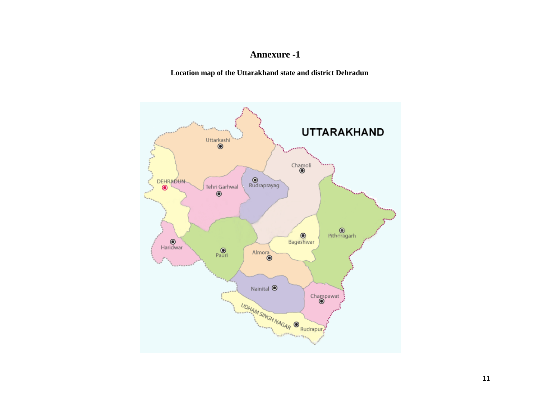# **Annexure -1**

**Location map of the Uttarakhand state and district Dehradun**

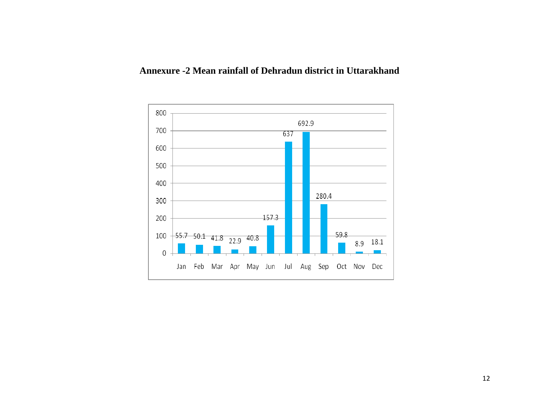

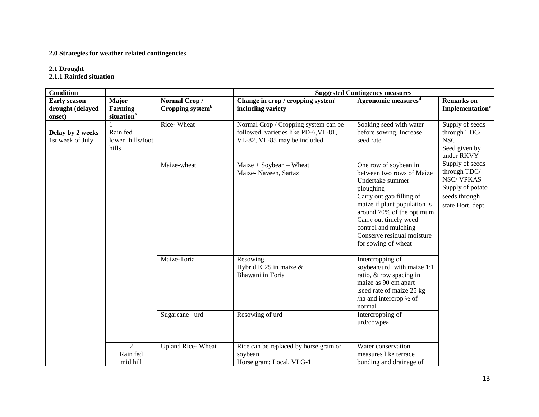#### **2.0 Strategies for weather related contingencies**

#### **2.1 Drought**

**2.1.1 Rainfed situation**

| <b>Condition</b>                                  |                                                   |                                              | <b>Suggested Contingency measures</b>                                                                         |                                                                                                                                                                                                                                                                                    |                                                                                                               |  |
|---------------------------------------------------|---------------------------------------------------|----------------------------------------------|---------------------------------------------------------------------------------------------------------------|------------------------------------------------------------------------------------------------------------------------------------------------------------------------------------------------------------------------------------------------------------------------------------|---------------------------------------------------------------------------------------------------------------|--|
| <b>Early season</b><br>drought (delayed<br>onset) | Major<br><b>Farming</b><br>situation <sup>a</sup> | Normal Crop/<br>Cropping system <sup>b</sup> | Change in crop / cropping system <sup>c</sup><br>including variety                                            | Agronomic measures <sup>d</sup>                                                                                                                                                                                                                                                    | <b>Remarks</b> on<br>Implementation <sup>e</sup>                                                              |  |
| Delay by 2 weeks<br>1st week of July              | Rain fed<br>lower hills/foot<br>hills             | Rice-Wheat                                   | Normal Crop / Cropping system can be<br>followed. varieties like PD-6, VL-81,<br>VL-82, VL-85 may be included | Soaking seed with water<br>before sowing. Increase<br>seed rate                                                                                                                                                                                                                    | Supply of seeds<br>through TDC/<br><b>NSC</b><br>Seed given by<br>under RKVY                                  |  |
|                                                   |                                                   | Maize-wheat                                  | $Maize + Soybean - Wheat$<br>Maize-Naveen, Sartaz                                                             | One row of soybean in<br>between two rows of Maize<br>Undertake summer<br>ploughing<br>Carry out gap filling of<br>maize if plant population is<br>around 70% of the optimum<br>Carry out timely weed<br>control and mulching<br>Conserve residual moisture<br>for sowing of wheat | Supply of seeds<br>through TDC/<br><b>NSC/VPKAS</b><br>Supply of potato<br>seeds through<br>state Hort. dept. |  |
|                                                   |                                                   | Maize-Toria                                  | Resowing<br>Hybrid K 25 in maize $\&$<br>Bhawani in Toria                                                     | Intercropping of<br>soybean/urd with maize 1:1<br>ratio, & row spacing in<br>maize as 90 cm apart<br>, seed rate of maize 25 kg<br>/ha and intercrop $\frac{1}{2}$ of<br>normal                                                                                                    |                                                                                                               |  |
|                                                   |                                                   | Sugarcane-urd                                | Resowing of urd                                                                                               | Intercropping of<br>urd/cowpea                                                                                                                                                                                                                                                     |                                                                                                               |  |
|                                                   | $\overline{2}$<br>Rain fed<br>mid hill            | <b>Upland Rice-Wheat</b>                     | Rice can be replaced by horse gram or<br>soybean<br>Horse gram: Local, VLG-1                                  | Water conservation<br>measures like terrace<br>bunding and drainage of                                                                                                                                                                                                             |                                                                                                               |  |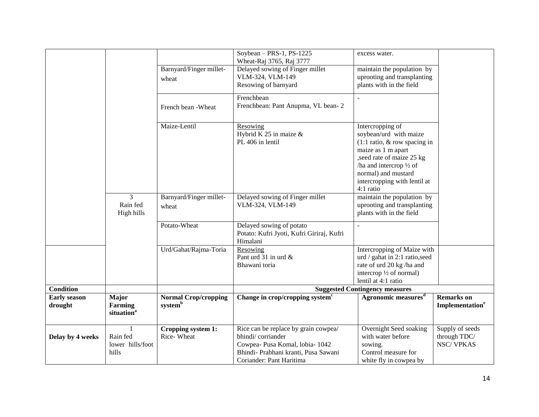| Delay by 4 weeks               | Rain fed<br>lower hills/foot<br>hills                             | Rice-Wheat                                                   | bhindi/corriander<br>Cowpea- Pusa Komal, lobia- 1042<br>Bhindi- Prabhani kranti, Pusa Sawani<br>Coriander: Pant Haritima | with water before<br>sowing.<br>Control measure for<br>white fly in cowpea by                                                                                                                   | through TDC/<br><b>NSC/VPKAS</b>                                    |
|--------------------------------|-------------------------------------------------------------------|--------------------------------------------------------------|--------------------------------------------------------------------------------------------------------------------------|-------------------------------------------------------------------------------------------------------------------------------------------------------------------------------------------------|---------------------------------------------------------------------|
| <b>Early season</b><br>drought | <b>Major</b><br>Farming<br>situation <sup>a</sup><br>$\mathbf{1}$ | <b>Normal Crop/cropping</b><br>systemb<br>Cropping system 1: | Change in crop/cropping system <sup>c</sup><br>Rice can be replace by grain cowpea/                                      | Agronomic measures <sup>d</sup><br>Overnight Seed soaking                                                                                                                                       | <b>Remarks</b> on<br>Implementation <sup>e</sup><br>Supply of seeds |
| <b>Condition</b>               |                                                                   |                                                              |                                                                                                                          | <b>Suggested Contingency measures</b>                                                                                                                                                           |                                                                     |
|                                |                                                                   | Urd/Gahat/Rajma-Toria                                        | Resowing<br>Pant urd 31 in urd &<br>Bhawani toria                                                                        | Intercropping of Maize with<br>urd / gahat in 2:1 ratio, seed<br>rate of urd 20 kg /ha and<br>intercrop $\frac{1}{2}$ of normal)<br>lentil at 4:1 ratio                                         |                                                                     |
|                                |                                                                   | Potato-Wheat                                                 | Delayed sowing of potato<br>Potato: Kufri Jyoti, Kufri Giriraj, Kufri<br>Himalani                                        |                                                                                                                                                                                                 |                                                                     |
|                                | 3<br>Rain fed<br>High hills                                       | Barnyard/Finger millet-<br>wheat                             | Delayed sowing of Finger millet<br>VLM-324, VLM-149                                                                      | /ha and intercrop $\frac{1}{2}$ of<br>normal) and mustard<br>intercropping with lentil at<br>4:1 ratio<br>maintain the population by<br>uprooting and transplanting<br>plants with in the field |                                                                     |
|                                |                                                                   | Maize-Lentil                                                 | Resowing<br>Hybrid K 25 in maize $&$<br>PL 406 in lentil                                                                 | Intercropping of<br>soybean/urd with maize<br>$(1:1 \text{ ratio}, \& \text{ row spacing in})$<br>maize as 1 m apart<br>, seed rate of maize 25 kg                                              |                                                                     |
|                                |                                                                   | French bean - Wheat                                          | Frenchbean<br>Frenchbean: Pant Anupma, VL bean-2                                                                         |                                                                                                                                                                                                 |                                                                     |
|                                |                                                                   | Barnyard/Finger millet-<br>wheat                             | Wheat-Raj 3765, Raj 3777<br>Delayed sowing of Finger millet<br>VLM-324, VLM-149<br>Resowing of barnyard                  | maintain the population by<br>uprooting and transplanting<br>plants with in the field                                                                                                           |                                                                     |
|                                |                                                                   |                                                              | Soybean $-$ PRS-1, PS-1225                                                                                               | excess water.                                                                                                                                                                                   |                                                                     |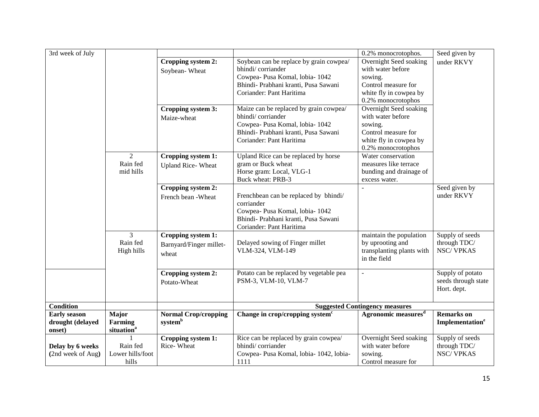| 3rd week of July                                  |                                                   |                                                        |                                                                                                                                                                     | 0.2% monocrotophos.                                                                                                           | Seed given by                                          |
|---------------------------------------------------|---------------------------------------------------|--------------------------------------------------------|---------------------------------------------------------------------------------------------------------------------------------------------------------------------|-------------------------------------------------------------------------------------------------------------------------------|--------------------------------------------------------|
|                                                   |                                                   | Cropping system 2:<br>Soybean-Wheat                    | Soybean can be replace by grain cowpea/<br>bhindi/corriander<br>Cowpea- Pusa Komal, lobia- 1042<br>Bhindi- Prabhani kranti, Pusa Sawani<br>Coriander: Pant Haritima | Overnight Seed soaking<br>with water before<br>sowing.<br>Control measure for<br>white fly in cowpea by<br>0.2% monocrotophos | under RKVY                                             |
|                                                   |                                                   | Cropping system 3:<br>Maize-wheat                      | Maize can be replaced by grain cowpea/<br>bhindi/corriander<br>Cowpea- Pusa Komal, lobia- 1042<br>Bhindi- Prabhani kranti, Pusa Sawani<br>Coriander: Pant Haritima  | Overnight Seed soaking<br>with water before<br>sowing.<br>Control measure for<br>white fly in cowpea by<br>0.2% monocrotophos |                                                        |
|                                                   | 2<br>Rain fed<br>mid hills                        | Cropping system 1:<br><b>Upland Rice-Wheat</b>         | Upland Rice can be replaced by horse<br>gram or Buck wheat<br>Horse gram: Local, VLG-1<br>Buck wheat: PRB-3                                                         | Water conservation<br>measures like terrace<br>bunding and drainage of<br>excess water.                                       |                                                        |
|                                                   |                                                   | Cropping system 2:<br>French bean - Wheat              | Frenchbean can be replaced by bhindi/<br>corriander<br>Cowpea- Pusa Komal, lobia- 1042<br>Bhindi- Prabhani kranti, Pusa Sawani<br>Coriander: Pant Haritima          |                                                                                                                               | Seed given by<br>under RKVY                            |
|                                                   | $\overline{3}$<br>Rain fed<br>High hills          | Cropping system 1:<br>Barnyard/Finger millet-<br>wheat | Delayed sowing of Finger millet<br>VLM-324, VLM-149                                                                                                                 | maintain the population<br>by uprooting and<br>transplanting plants with<br>in the field                                      | Supply of seeds<br>through TDC/<br><b>NSC/VPKAS</b>    |
|                                                   |                                                   | Cropping system 2:<br>Potato-Wheat                     | Potato can be replaced by vegetable pea<br>PSM-3, VLM-10, VLM-7                                                                                                     | ÷.                                                                                                                            | Supply of potato<br>seeds through state<br>Hort. dept. |
| <b>Condition</b>                                  |                                                   |                                                        |                                                                                                                                                                     | <b>Suggested Contingency measures</b>                                                                                         |                                                        |
| <b>Early season</b><br>drought (delayed<br>onset) | <b>Major</b><br>Farming<br>situation <sup>a</sup> | <b>Normal Crop/cropping</b><br>system <sup>b</sup>     | Change in crop/cropping system <sup>c</sup>                                                                                                                         | Agronomic measures <sup>d</sup>                                                                                               | <b>Remarks</b> on<br>Implementation <sup>e</sup>       |
| Delay by 6 weeks<br>(2nd week of Aug)             | Rain fed<br>Lower hills/foot<br>hills             | Cropping system 1:<br>Rice-Wheat                       | Rice can be replaced by grain cowpea/<br>bhindi/corriander<br>Cowpea- Pusa Komal, lobia- 1042, lobia-<br>1111                                                       | Overnight Seed soaking<br>with water before<br>sowing.<br>Control measure for                                                 | Supply of seeds<br>through TDC/<br><b>NSC/VPKAS</b>    |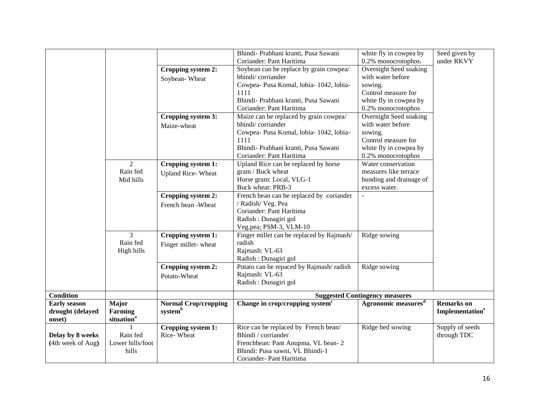|                     |                        |                             | Bhindi- Prabhani kranti, Pusa Sawani        | white fly in cowpea by                | Seed given by               |
|---------------------|------------------------|-----------------------------|---------------------------------------------|---------------------------------------|-----------------------------|
|                     |                        |                             | Coriander: Pant Haritima                    | 0.2% monocrotophos.                   | under RKVY                  |
|                     |                        | Cropping system 2:          | Soybean can be replace by grain cowpea/     | Overnight Seed soaking                |                             |
|                     |                        | Soybean-Wheat               | bhindi/corriander                           | with water before                     |                             |
|                     |                        |                             | Cowpea- Pusa Komal, lobia- 1042, lobia-     | sowing.                               |                             |
|                     |                        |                             | 1111                                        | Control measure for                   |                             |
|                     |                        |                             | Bhindi- Prabhani kranti, Pusa Sawani        | white fly in cowpea by                |                             |
|                     |                        |                             | Coriander: Pant Haritima                    | 0.2% monocrotophos                    |                             |
|                     |                        | Cropping system 3:          | Maize can be replaced by grain cowpea/      | Overnight Seed soaking                |                             |
|                     |                        | Maize-wheat                 | bhindi/corriander                           | with water before                     |                             |
|                     |                        |                             | Cowpea- Pusa Komal, lobia- 1042, lobia-     | sowing.                               |                             |
|                     |                        |                             | 1111                                        | Control measure for                   |                             |
|                     |                        |                             | Bhindi- Prabhani kranti, Pusa Sawani        | white fly in cowpea by                |                             |
|                     |                        |                             | Coriander: Pant Haritima                    | 0.2% monocrotophos                    |                             |
|                     | $\overline{2}$         | Cropping system 1:          | Upland Rice can be replaced by horse        | Water conservation                    |                             |
|                     | Rain fed               | <b>Upland Rice-Wheat</b>    | gram / Buck wheat                           | measures like terrace                 |                             |
|                     | Mid hills              |                             | Horse gram: Local, VLG-1                    | bunding and drainage of               |                             |
|                     |                        |                             | Buck wheat: PRB-3                           | excess water.                         |                             |
|                     |                        | Cropping system 2:          | French bean can be replaced by coriander    | $\mathbb{Z}^2$                        |                             |
|                     |                        | French bean - Wheat         | / Radish/ Veg. Pea                          |                                       |                             |
|                     |                        |                             | Coriander: Pant Haritima                    |                                       |                             |
|                     |                        |                             | Radish : Dunagiri gol                       |                                       |                             |
|                     |                        |                             | Veg.pea; PSM-3, VLM-10                      |                                       |                             |
|                     | 3                      | Cropping system 1:          | Finger millet can be replaced by Rajmash/   | Ridge sowing                          |                             |
|                     | Rain fed               | Finger millet-wheat         | radish                                      |                                       |                             |
|                     | High hills             |                             | Rajmash: VL-63                              |                                       |                             |
|                     |                        |                             | Radish : Dunagiri gol                       |                                       |                             |
|                     |                        | Cropping system 2:          | Potato can be repaced by Rajmash/radish     | Ridge sowing                          |                             |
|                     |                        | Potato-Wheat                | Rajmash: VL-63                              |                                       |                             |
|                     |                        |                             | Radish : Dunagiri gol                       |                                       |                             |
| <b>Condition</b>    |                        |                             |                                             | <b>Suggested Contingency measures</b> |                             |
| <b>Early season</b> | Major                  | <b>Normal Crop/cropping</b> | Change in crop/cropping system <sup>c</sup> | Agronomic measures <sup>d</sup>       | <b>Remarks</b> on           |
| drought (delayed    | Farming                | systemb                     |                                             |                                       | Implementation <sup>e</sup> |
| onset)              | situation <sup>a</sup> |                             |                                             |                                       |                             |
|                     |                        | Cropping system 1:          | Rice can be replaced by French bean/        | Ridge bed sowing                      | Supply of seeds             |
| Delay by 8 weeks    | Rain fed               | Rice-Wheat                  | Bhindi / corriander                         |                                       | through TDC                 |
| (4th week of Aug)   | Lower hills/foot       |                             | Frenchbean: Pant Anupma, VL bean-2          |                                       |                             |
|                     | hills                  |                             | Bhindi: Pusa sawni, VL Bhindi-1             |                                       |                             |
|                     |                        |                             | Coriander-Pant Haritima                     |                                       |                             |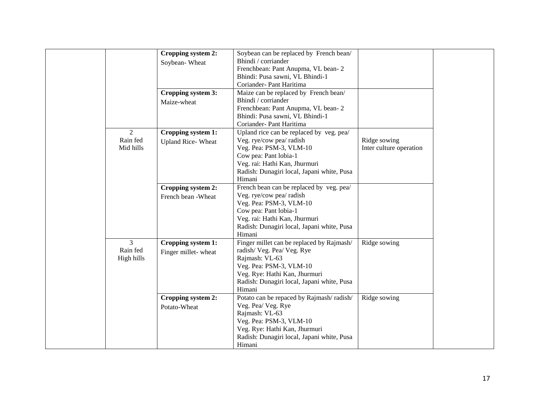|                | Cropping system 2:       | Soybean can be replaced by French bean/    |                         |  |
|----------------|--------------------------|--------------------------------------------|-------------------------|--|
|                | Soybean-Wheat            | Bhindi / corriander                        |                         |  |
|                |                          | Frenchbean: Pant Anupma, VL bean-2         |                         |  |
|                |                          | Bhindi: Pusa sawni, VL Bhindi-1            |                         |  |
|                |                          | Coriander- Pant Haritima                   |                         |  |
|                | Cropping system 3:       | Maize can be replaced by French bean/      |                         |  |
|                | Maize-wheat              | Bhindi / corriander                        |                         |  |
|                |                          | Frenchbean: Pant Anupma, VL bean-2         |                         |  |
|                |                          | Bhindi: Pusa sawni, VL Bhindi-1            |                         |  |
|                |                          | Coriander- Pant Haritima                   |                         |  |
| $\overline{2}$ | Cropping system 1:       | Upland rice can be replaced by veg. pea/   |                         |  |
| Rain fed       | <b>Upland Rice-Wheat</b> | Veg. rye/cow pea/ radish                   | Ridge sowing            |  |
| Mid hills      |                          | Veg. Pea: PSM-3, VLM-10                    | Inter culture operation |  |
|                |                          | Cow pea: Pant lobia-1                      |                         |  |
|                |                          | Veg. rai: Hathi Kan, Jhurmuri              |                         |  |
|                |                          | Radish: Dunagiri local, Japani white, Pusa |                         |  |
|                |                          | Himani                                     |                         |  |
|                | Cropping system 2:       | French bean can be replaced by veg. pea/   |                         |  |
|                | French bean -Wheat       | Veg. rye/cow pea/ radish                   |                         |  |
|                |                          | Veg. Pea: PSM-3, VLM-10                    |                         |  |
|                |                          | Cow pea: Pant lobia-1                      |                         |  |
|                |                          | Veg. rai: Hathi Kan, Jhurmuri              |                         |  |
|                |                          | Radish: Dunagiri local, Japani white, Pusa |                         |  |
|                |                          | Himani                                     |                         |  |
| $\overline{3}$ | Cropping system 1:       | Finger millet can be replaced by Rajmash/  | Ridge sowing            |  |
| Rain fed       | Finger millet-wheat      | radish/Veg. Pea/Veg. Rye                   |                         |  |
| High hills     |                          | Rajmash: VL-63                             |                         |  |
|                |                          | Veg. Pea: PSM-3, VLM-10                    |                         |  |
|                |                          | Veg. Rye: Hathi Kan, Jhurmuri              |                         |  |
|                |                          | Radish: Dunagiri local, Japani white, Pusa |                         |  |
|                |                          | Himani                                     |                         |  |
|                | Cropping system 2:       | Potato can be repaced by Rajmash/radish/   | Ridge sowing            |  |
|                | Potato-Wheat             | Veg. Pea/ Veg. Rye                         |                         |  |
|                |                          | Rajmash: VL-63                             |                         |  |
|                |                          | Veg. Pea: PSM-3, VLM-10                    |                         |  |
|                |                          | Veg. Rye: Hathi Kan, Jhurmuri              |                         |  |
|                |                          | Radish: Dunagiri local, Japani white, Pusa |                         |  |
|                |                          | Himani                                     |                         |  |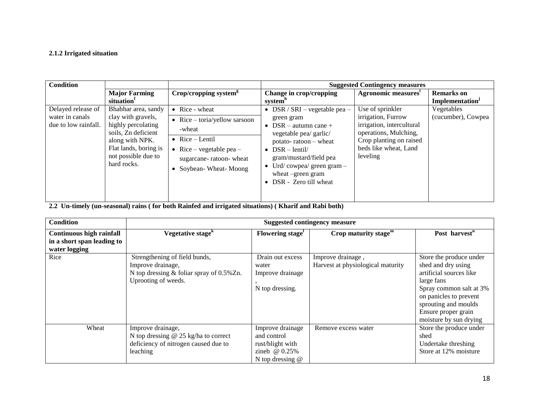#### **2.1.2 Irrigated situation**

| <b>Condition</b>                                              |                                                                                                                                                                          |                                                                                                                                                               |                                                                                                                                                                                                                                                                | <b>Suggested Contingency measures</b>                                                                                                                        |                                                  |
|---------------------------------------------------------------|--------------------------------------------------------------------------------------------------------------------------------------------------------------------------|---------------------------------------------------------------------------------------------------------------------------------------------------------------|----------------------------------------------------------------------------------------------------------------------------------------------------------------------------------------------------------------------------------------------------------------|--------------------------------------------------------------------------------------------------------------------------------------------------------------|--------------------------------------------------|
|                                                               | <b>Major Farming</b><br>situation                                                                                                                                        | $Crop/cropping$ system <sup>g</sup>                                                                                                                           | Change in crop/cropping<br>system"                                                                                                                                                                                                                             | Agronomic measures <sup>1</sup>                                                                                                                              | <b>Remarks</b> on<br>Implementation <sup>J</sup> |
| Delayed release of<br>water in canals<br>due to low rainfall. | Bhabhar area, sandy<br>clay with gravels,<br>highly percolating<br>soils, Zn deficient<br>along with NPK.<br>Flat lands, boring is<br>not possible due to<br>hard rocks. | • Rice - wheat<br>• Rice $-$ toria/yellow sarsoon<br>-wheat<br>• Rice $-$ Lentil<br>• Rice – vegetable pea –<br>sugarcane-ratoon-wheat<br>Soybean-Wheat-Moong | • DSR / SRI – vegetable pea –<br>green gram<br>• DSR – autumn cane +<br>vegetable pea/ garlic/<br>potato-ratoon - wheat<br>• $DSR - lentil/$<br>gram/mustard/field pea<br>• Urd/cowpea/ green gram $-$<br>wheat –green gram<br>$\bullet$ DSR - Zero till wheat | Use of sprinkler<br>irrigation, Furrow<br>irrigation, intercultural<br>operations, Mulching,<br>Crop planting on raised<br>beds like wheat, Land<br>leveling | Vegetables<br>(cucumber), Cowpea                 |

**2.2 Un-timely (un-seasonal) rains ( for both Rainfed and irrigated situations) ( Kharif and Rabi both)**

| <b>Condition</b>                                                        | <b>Suggested contingency measure</b>                                                                                    |                                                                                              |                                                        |                                                                                                                                                                                                                      |  |  |
|-------------------------------------------------------------------------|-------------------------------------------------------------------------------------------------------------------------|----------------------------------------------------------------------------------------------|--------------------------------------------------------|----------------------------------------------------------------------------------------------------------------------------------------------------------------------------------------------------------------------|--|--|
| Continuous high rainfall<br>in a short span leading to<br>water logging | Vegetative stage <sup>k</sup>                                                                                           | Flowering stage <sup>1</sup>                                                                 | Crop maturity stage $m$                                | Post harvest <sup>n</sup>                                                                                                                                                                                            |  |  |
| Rice                                                                    | Strengthening of field bunds,<br>Improve drainage,<br>N top dressing $&$ foliar spray of 0.5%Zn.<br>Uprooting of weeds. | Drain out excess<br>water<br>Improve drainage<br>N top dressing.                             | Improve drainage,<br>Harvest at physiological maturity | Store the produce under<br>shed and dry using<br>artificial sources like<br>large fans<br>Spray common salt at 3%<br>on panicles to prevent<br>sprouting and moulds<br>Ensure proper grain<br>moisture by sun drying |  |  |
| Wheat                                                                   | Improve drainage,<br>N top dressing $@$ 25 kg/ha to correct<br>deficiency of nitrogen caused due to<br>leaching         | Improve drainage<br>and control<br>rust/blight with<br>zineb $@0.25\%$<br>N top dressing $@$ | Remove excess water                                    | Store the produce under<br>shed<br>Undertake threshing<br>Store at 12% moisture                                                                                                                                      |  |  |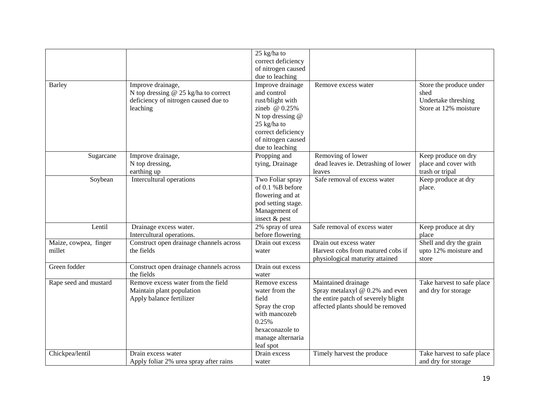|                                 |                                                                                                               | 25 kg/ha to<br>correct deficiency<br>of nitrogen caused<br>due to leaching                                                                                               |                                                                                                                                    |                                                                                 |
|---------------------------------|---------------------------------------------------------------------------------------------------------------|--------------------------------------------------------------------------------------------------------------------------------------------------------------------------|------------------------------------------------------------------------------------------------------------------------------------|---------------------------------------------------------------------------------|
| <b>Barley</b>                   | Improve drainage,<br>N top dressing @ 25 kg/ha to correct<br>deficiency of nitrogen caused due to<br>leaching | Improve drainage<br>and control<br>rust/blight with<br>zineb @ 0.25%<br>N top dressing $@$<br>25 kg/ha to<br>correct deficiency<br>of nitrogen caused<br>due to leaching | Remove excess water                                                                                                                | Store the produce under<br>shed<br>Undertake threshing<br>Store at 12% moisture |
| Sugarcane                       | Improve drainage,<br>N top dressing,<br>earthing up                                                           | Propping and<br>tying, Drainage                                                                                                                                          | Removing of lower<br>dead leaves ie. Detrashing of lower<br>leaves                                                                 | Keep produce on dry<br>place and cover with<br>trash or tripal                  |
| Soybean                         | Intercultural operations                                                                                      | Two Foliar spray<br>of 0.1 %B before<br>flowering and at<br>pod setting stage.<br>Management of<br>insect & pest                                                         | Safe removal of excess water                                                                                                       | Keep produce at dry<br>place.                                                   |
| Lentil                          | Drainage excess water.<br>Intercultural operations.                                                           | 2% spray of urea<br>before flowering                                                                                                                                     | Safe removal of excess water                                                                                                       | Keep produce at dry<br>place                                                    |
| Maize, cowpea, finger<br>millet | Construct open drainage channels across<br>the fields                                                         | Drain out excess<br>water                                                                                                                                                | Drain out excess water<br>Harvest cobs from matured cobs if<br>physiological maturity attained                                     | Shell and dry the grain<br>upto 12% moisture and<br>store                       |
| Green fodder                    | Construct open drainage channels across<br>the fields                                                         | Drain out excess<br>water                                                                                                                                                |                                                                                                                                    |                                                                                 |
| Rape seed and mustard           | Remove excess water from the field<br>Maintain plant population<br>Apply balance fertilizer                   | Remove excess<br>water from the<br>field<br>Spray the crop<br>with mancozeb<br>0.25%<br>hexaconazole to<br>manage alternaria<br>leaf spot                                | Maintained drainage<br>Spray metalaxyl @ 0.2% and even<br>the entire patch of severely blight<br>affected plants should be removed | Take harvest to safe place<br>and dry for storage                               |
| Chickpea/lentil                 | Drain excess water<br>Apply foliar 2% urea spray after rains                                                  | Drain excess<br>water                                                                                                                                                    | Timely harvest the produce                                                                                                         | Take harvest to safe place<br>and dry for storage                               |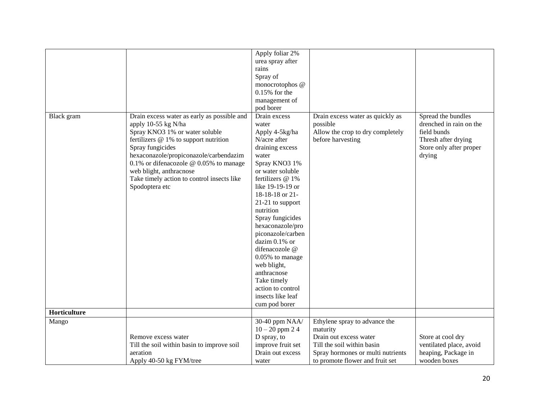|              |                                             | Apply foliar 2%               |                                   |                         |
|--------------|---------------------------------------------|-------------------------------|-----------------------------------|-------------------------|
|              |                                             | urea spray after<br>rains     |                                   |                         |
|              |                                             | Spray of                      |                                   |                         |
|              |                                             | monocrotophos @               |                                   |                         |
|              |                                             | $0.15%$ for the               |                                   |                         |
|              |                                             | management of                 |                                   |                         |
|              |                                             | pod borer                     |                                   |                         |
| Black gram   | Drain excess water as early as possible and | Drain excess                  | Drain excess water as quickly as  | Spread the bundles      |
|              | apply 10-55 kg N/ha                         | water                         | possible                          | drenched in rain on the |
|              | Spray KNO3 1% or water soluble              | Apply 4-5kg/ha                | Allow the crop to dry completely  | field bunds             |
|              | fertilizers @ 1% to support nutrition       | N/acre after                  | before harvesting                 | Thresh after drying     |
|              | Spray fungicides                            | draining excess               |                                   | Store only after proper |
|              | hexaconazole/propiconazole/carbendazim      | water                         |                                   | drying                  |
|              | 0.1% or difenacozole @ 0.05% to manage      | Spray KNO3 1%                 |                                   |                         |
|              | web blight, anthracnose                     | or water soluble              |                                   |                         |
|              | Take timely action to control insects like  | fertilizers @ 1%              |                                   |                         |
|              | Spodoptera etc                              | like 19-19-19 or              |                                   |                         |
|              |                                             | 18-18-18 or 21-               |                                   |                         |
|              |                                             | 21-21 to support<br>nutrition |                                   |                         |
|              |                                             | Spray fungicides              |                                   |                         |
|              |                                             | hexaconazole/pro              |                                   |                         |
|              |                                             | piconazole/carben             |                                   |                         |
|              |                                             | dazim 0.1% or                 |                                   |                         |
|              |                                             | difenacozole @                |                                   |                         |
|              |                                             | 0.05% to manage               |                                   |                         |
|              |                                             | web blight,                   |                                   |                         |
|              |                                             | anthracnose                   |                                   |                         |
|              |                                             | Take timely                   |                                   |                         |
|              |                                             | action to control             |                                   |                         |
|              |                                             | insects like leaf             |                                   |                         |
|              |                                             | cum pod borer                 |                                   |                         |
| Horticulture |                                             |                               |                                   |                         |
| Mango        |                                             | 30-40 ppm NAA/                | Ethylene spray to advance the     |                         |
|              |                                             | $10 - 20$ ppm 24              | maturity                          |                         |
|              | Remove excess water                         | D spray, to                   | Drain out excess water            | Store at cool dry       |
|              | Till the soil within basin to improve soil  | improve fruit set             | Till the soil within basin        | ventilated place, avoid |
|              | aeration                                    | Drain out excess              | Spray hormones or multi nutrients | heaping, Package in     |
|              | Apply 40-50 kg FYM/tree                     | water                         | to promote flower and fruit set   | wooden boxes            |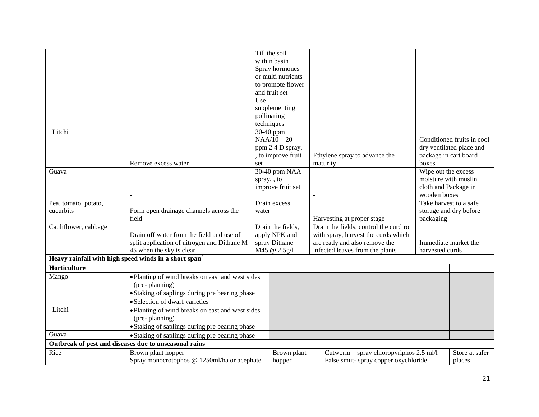|                                                                   |                                                       |       | Till the soil      |                                         |                       |                            |
|-------------------------------------------------------------------|-------------------------------------------------------|-------|--------------------|-----------------------------------------|-----------------------|----------------------------|
|                                                                   |                                                       |       | within basin       |                                         |                       |                            |
|                                                                   |                                                       |       | Spray hormones     |                                         |                       |                            |
|                                                                   |                                                       |       | or multi nutrients |                                         |                       |                            |
|                                                                   |                                                       |       | to promote flower  |                                         |                       |                            |
|                                                                   |                                                       |       | and fruit set      |                                         |                       |                            |
|                                                                   |                                                       | Use   |                    |                                         |                       |                            |
|                                                                   |                                                       |       | supplementing      |                                         |                       |                            |
|                                                                   |                                                       |       | pollinating        |                                         |                       |                            |
|                                                                   |                                                       |       | techniques         |                                         |                       |                            |
| Litchi                                                            |                                                       |       | 30-40 ppm          |                                         |                       |                            |
|                                                                   |                                                       |       | $NAA/10-20$        |                                         |                       | Conditioned fruits in cool |
|                                                                   |                                                       |       | ppm 2 4 D spray,   |                                         |                       | dry ventilated place and   |
|                                                                   |                                                       |       | , to improve fruit | Ethylene spray to advance the           | package in cart board |                            |
|                                                                   | Remove excess water                                   | set   |                    | maturity                                | boxes                 |                            |
| Guava                                                             |                                                       |       | 30-40 ppm NAA      |                                         | Wipe out the excess   |                            |
|                                                                   |                                                       |       | spray, , to        |                                         | moisture with muslin  |                            |
|                                                                   |                                                       |       | improve fruit set  |                                         | cloth and Package in  |                            |
|                                                                   |                                                       |       |                    |                                         | wooden boxes          |                            |
| Pea, tomato, potato,                                              |                                                       |       | Drain excess       |                                         |                       | Take harvest to a safe     |
| cucurbits                                                         | Form open drainage channels across the                | water |                    |                                         |                       | storage and dry before     |
|                                                                   | field                                                 |       |                    | Harvesting at proper stage              | packaging             |                            |
| Cauliflower, cabbage                                              |                                                       |       | Drain the fields,  | Drain the fields, control the curd rot  |                       |                            |
|                                                                   | Drain off water from the field and use of             |       | apply NPK and      | with spray, harvest the curds which     |                       |                            |
|                                                                   | split application of nitrogen and Dithane M           |       | spray Dithane      | are ready and also remove the           |                       | Immediate market the       |
|                                                                   | 45 when the sky is clear                              |       | M45 @ 2.5g/l       | infected leaves from the plants         | harvested curds       |                            |
| Heavy rainfall with high speed winds in a short span <sup>2</sup> |                                                       |       |                    |                                         |                       |                            |
| Horticulture                                                      |                                                       |       |                    |                                         |                       |                            |
| Mango                                                             | . Planting of wind breaks on east and west sides      |       |                    |                                         |                       |                            |
|                                                                   | (pre-planning)                                        |       |                    |                                         |                       |                            |
|                                                                   | • Staking of saplings during pre bearing phase        |       |                    |                                         |                       |                            |
|                                                                   | • Selection of dwarf varieties                        |       |                    |                                         |                       |                            |
| Litchi                                                            | • Planting of wind breaks on east and west sides      |       |                    |                                         |                       |                            |
|                                                                   | (pre-planning)                                        |       |                    |                                         |                       |                            |
|                                                                   |                                                       |       |                    |                                         |                       |                            |
|                                                                   | • Staking of saplings during pre bearing phase        |       |                    |                                         |                       |                            |
| Guava                                                             | • Staking of saplings during pre bearing phase        |       |                    |                                         |                       |                            |
|                                                                   | Outbreak of pest and diseases due to unseasonal rains |       |                    |                                         |                       |                            |
| Rice                                                              | Brown plant hopper                                    |       | Brown plant        | Cutworm - spray chloropyriphos 2.5 ml/l |                       | Store at safer             |
|                                                                   | Spray monocrotophos @ 1250ml/ha or acephate           |       | hopper             | False smut-spray copper oxychloride     |                       | places                     |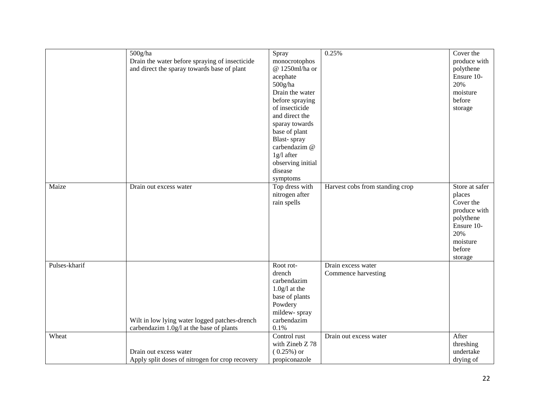|               | $500$ g/ha                                      | Spray             | 0.25%                           | Cover the               |
|---------------|-------------------------------------------------|-------------------|---------------------------------|-------------------------|
|               | Drain the water before spraying of insecticide  | monocrotophos     |                                 | produce with            |
|               | and direct the sparay towards base of plant     | @ 1250ml/ha or    |                                 | polythene               |
|               |                                                 | acephate          |                                 | Ensure 10-              |
|               |                                                 | $500$ g/ha        |                                 | 20%                     |
|               |                                                 | Drain the water   |                                 | moisture                |
|               |                                                 | before spraying   |                                 | before                  |
|               |                                                 | of insecticide    |                                 | storage                 |
|               |                                                 | and direct the    |                                 |                         |
|               |                                                 | sparay towards    |                                 |                         |
|               |                                                 | base of plant     |                                 |                         |
|               |                                                 | Blast-spray       |                                 |                         |
|               |                                                 | carbendazim @     |                                 |                         |
|               |                                                 | 1g/l after        |                                 |                         |
|               |                                                 | observing initial |                                 |                         |
|               |                                                 | disease           |                                 |                         |
|               |                                                 | symptoms          |                                 |                         |
| Maize         | Drain out excess water                          | Top dress with    | Harvest cobs from standing crop | Store at safer          |
|               |                                                 | nitrogen after    |                                 | places                  |
|               |                                                 | rain spells       |                                 | Cover the               |
|               |                                                 |                   |                                 | produce with            |
|               |                                                 |                   |                                 |                         |
|               |                                                 |                   |                                 | polythene<br>Ensure 10- |
|               |                                                 |                   |                                 | 20%                     |
|               |                                                 |                   |                                 |                         |
|               |                                                 |                   |                                 | moisture                |
|               |                                                 |                   |                                 | before                  |
|               |                                                 |                   |                                 | storage                 |
| Pulses-kharif |                                                 | Root rot-         | Drain excess water              |                         |
|               |                                                 | drench            | Commence harvesting             |                         |
|               |                                                 | carbendazim       |                                 |                         |
|               |                                                 | $1.0g/l$ at the   |                                 |                         |
|               |                                                 | base of plants    |                                 |                         |
|               |                                                 | Powdery           |                                 |                         |
|               |                                                 | mildew-spray      |                                 |                         |
|               | Wilt in low lying water logged patches-drench   | carbendazim       |                                 |                         |
|               | carbendazim 1.0g/l at the base of plants        | 0.1%              |                                 |                         |
| Wheat         |                                                 | Control rust      | Drain out excess water          | After                   |
|               |                                                 | with Zineb Z 78   |                                 | threshing               |
|               | Drain out excess water                          | $(0.25\%)$ or     |                                 | undertake               |
|               | Apply split doses of nitrogen for crop recovery | propiconazole     |                                 | drying of               |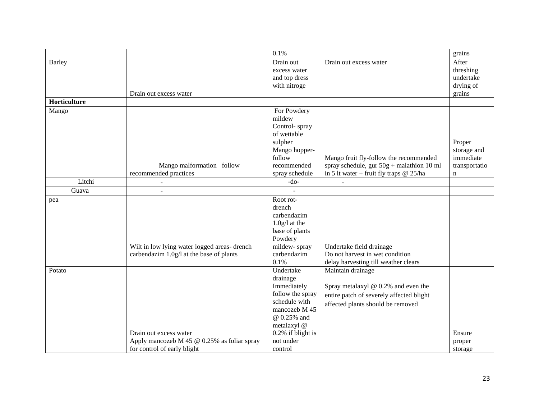|                     |                                             | 0.1%              |                                             | grains        |
|---------------------|---------------------------------------------|-------------------|---------------------------------------------|---------------|
| <b>Barley</b>       |                                             | Drain out         | Drain out excess water                      | After         |
|                     |                                             | excess water      |                                             | threshing     |
|                     |                                             | and top dress     |                                             | undertake     |
|                     |                                             | with nitroge      |                                             | drying of     |
|                     | Drain out excess water                      |                   |                                             | grains        |
| <b>Horticulture</b> |                                             |                   |                                             |               |
| Mango               |                                             | For Powdery       |                                             |               |
|                     |                                             | mildew            |                                             |               |
|                     |                                             | Control-spray     |                                             |               |
|                     |                                             | of wettable       |                                             |               |
|                     |                                             | sulpher           |                                             | Proper        |
|                     |                                             | Mango hopper-     |                                             | storage and   |
|                     |                                             | follow            | Mango fruit fly-follow the recommended      | immediate     |
|                     | Mango malformation -follow                  | recommended       | spray schedule, gur $50g +$ malathion 10 ml | transportatio |
|                     | recommended practices                       | spray schedule    | in 5 lt water + fruit fly traps $@ 25/ha$   | n             |
| Litchi              | $\sim$                                      | $-do-$            |                                             |               |
| Guava               |                                             |                   |                                             |               |
| pea                 |                                             | Root rot-         |                                             |               |
|                     |                                             | drench            |                                             |               |
|                     |                                             | carbendazim       |                                             |               |
|                     |                                             | $1.0g/l$ at the   |                                             |               |
|                     |                                             | base of plants    |                                             |               |
|                     |                                             | Powdery           |                                             |               |
|                     | Wilt in low lying water logged areas-drench | mildew-spray      | Undertake field drainage                    |               |
|                     | carbendazim 1.0g/l at the base of plants    | carbendazim       | Do not harvest in wet condition             |               |
|                     |                                             | 0.1%              | delay harvesting till weather clears        |               |
| Potato              |                                             | Undertake         | Maintain drainage                           |               |
|                     |                                             | drainage          |                                             |               |
|                     |                                             | Immediately       | Spray metalaxyl @ 0.2% and even the         |               |
|                     |                                             | follow the spray  | entire patch of severely affected blight    |               |
|                     |                                             | schedule with     | affected plants should be removed           |               |
|                     |                                             | mancozeb M 45     |                                             |               |
|                     |                                             | @ 0.25% and       |                                             |               |
|                     |                                             | metalaxyl @       |                                             |               |
|                     | Drain out excess water                      | 0.2% if blight is |                                             | Ensure        |
|                     | Apply mancozeb M 45 @ 0.25% as foliar spray | not under         |                                             | proper        |
|                     | for control of early blight                 | control           |                                             | storage       |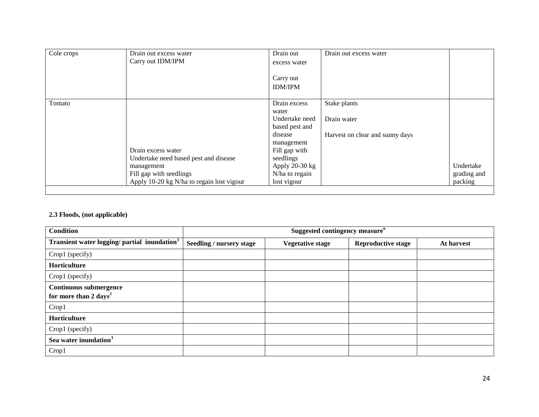| Cole crops | Drain out excess water<br>Carry out IDM/IPM | Drain out<br>excess water   | Drain out excess water          |             |
|------------|---------------------------------------------|-----------------------------|---------------------------------|-------------|
|            |                                             | Carry out<br><b>IDM/IPM</b> |                                 |             |
| Tomato     |                                             | Drain excess                | Stake plants                    |             |
|            |                                             | water                       |                                 |             |
|            |                                             | Undertake need              | Drain water                     |             |
|            |                                             | based pest and              |                                 |             |
|            |                                             | disease                     | Harvest on clear and sunny days |             |
|            |                                             | management                  |                                 |             |
|            | Drain excess water                          | Fill gap with               |                                 |             |
|            | Undertake need based pest and disease       | seedlings                   |                                 |             |
|            | management                                  | Apply $20-30$ kg            |                                 | Undertake   |
|            | Fill gap with seedlings                     | N/ha to regain              |                                 | grading and |
|            | Apply 10-20 kg N/ha to regain lost vigour   | lost vigour                 |                                 | packing     |

#### **2.3 Floods, (not applicable)**

| <b>Condition</b>                                                   | Suggested contingency measure <sup>o</sup> |                         |                           |            |  |  |
|--------------------------------------------------------------------|--------------------------------------------|-------------------------|---------------------------|------------|--|--|
| Transient water logging/ partial inundation <sup>1</sup>           | <b>Seedling / nursery stage</b>            | <b>Vegetative stage</b> | <b>Reproductive stage</b> | At harvest |  |  |
| Crop1 (specify)                                                    |                                            |                         |                           |            |  |  |
| Horticulture                                                       |                                            |                         |                           |            |  |  |
| Crop1 (specify)                                                    |                                            |                         |                           |            |  |  |
| <b>Continuous submergence</b><br>for more than 2 days <sup>2</sup> |                                            |                         |                           |            |  |  |
| Crop1                                                              |                                            |                         |                           |            |  |  |
| Horticulture                                                       |                                            |                         |                           |            |  |  |
| Crop1 (specify)                                                    |                                            |                         |                           |            |  |  |
| Sea water inundation <sup>3</sup>                                  |                                            |                         |                           |            |  |  |
| Crop1                                                              |                                            |                         |                           |            |  |  |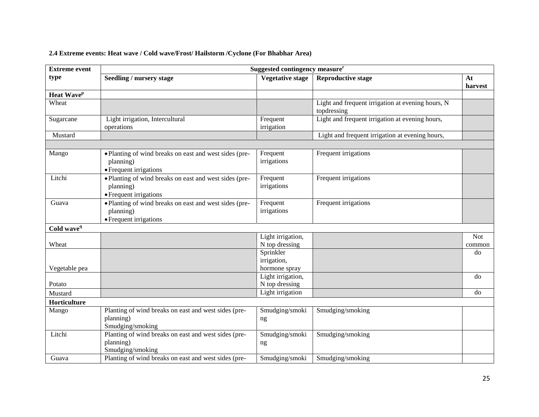## **2.4 Extreme events: Heat wave / Cold wave/Frost/ Hailstorm /Cyclone (For Bhabhar Area)**

| <b>Extreme event</b>          | Suggested contingency measure <sup>r</sup>                                                    |                                           |                                                                  |                      |
|-------------------------------|-----------------------------------------------------------------------------------------------|-------------------------------------------|------------------------------------------------------------------|----------------------|
| type                          | Seedling / nursery stage                                                                      | <b>Vegetative stage</b>                   | <b>Reproductive stage</b>                                        | At<br>harvest        |
| <b>Heat Wave</b> <sup>p</sup> |                                                                                               |                                           |                                                                  |                      |
| Wheat                         |                                                                                               |                                           | Light and frequent irrigation at evening hours, N<br>topdressing |                      |
| Sugarcane                     | Light irrigation, Intercultural<br>operations                                                 | Frequent<br>irrigation                    | Light and frequent irrigation at evening hours,                  |                      |
| Mustard                       |                                                                                               |                                           | Light and frequent irrigation at evening hours,                  |                      |
|                               |                                                                                               |                                           |                                                                  |                      |
| Mango                         | · Planting of wind breaks on east and west sides (pre-<br>planning)<br>• Frequent irrigations | Frequent<br>irrigations                   | Frequent irrigations                                             |                      |
| Litchi                        | • Planting of wind breaks on east and west sides (pre-<br>planning)<br>• Frequent irrigations | Frequent<br>irrigations                   | Frequent irrigations                                             |                      |
| Guava                         | • Planting of wind breaks on east and west sides (pre-<br>planning)<br>• Frequent irrigations | Frequent<br>irrigations                   | Frequent irrigations                                             |                      |
| Cold wave <sup>q</sup>        |                                                                                               |                                           |                                                                  |                      |
| Wheat                         |                                                                                               | Light irrigation,<br>N top dressing       |                                                                  | <b>Not</b><br>common |
| Vegetable pea                 |                                                                                               | Sprinkler<br>irrigation,<br>hormone spray |                                                                  | do                   |
| Potato                        |                                                                                               | Light irrigation,<br>N top dressing       |                                                                  | do                   |
| Mustard                       |                                                                                               | Light irrigation                          |                                                                  | do                   |
| Horticulture                  |                                                                                               |                                           |                                                                  |                      |
| Mango                         | Planting of wind breaks on east and west sides (pre-<br>planning)<br>Smudging/smoking         | Smudging/smoki<br>ng                      | Smudging/smoking                                                 |                      |
| Litchi                        | Planting of wind breaks on east and west sides (pre-<br>planning)<br>Smudging/smoking         | Smudging/smoki<br>ng                      | Smudging/smoking                                                 |                      |
| Guava                         | Planting of wind breaks on east and west sides (pre-                                          | Smudging/smoki                            | Smudging/smoking                                                 |                      |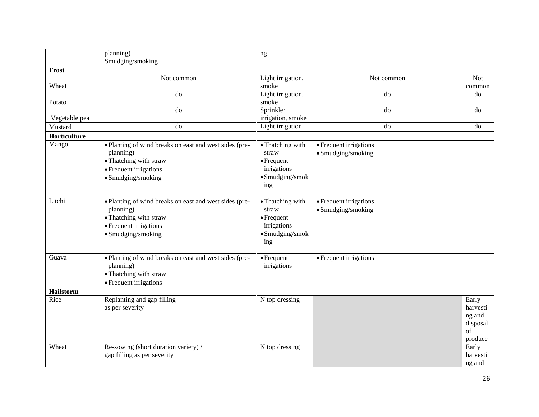|               | planning)                                                           | ng                                |                        |                |
|---------------|---------------------------------------------------------------------|-----------------------------------|------------------------|----------------|
|               | Smudging/smoking                                                    |                                   |                        |                |
| Frost         |                                                                     |                                   |                        |                |
|               | Not common                                                          | Light irrigation,                 | Not common             | <b>Not</b>     |
| Wheat         |                                                                     | smoke                             |                        | common         |
|               | do                                                                  | Light irrigation,                 | do                     | do             |
| Potato        |                                                                     | smoke                             |                        |                |
|               | do                                                                  | Sprinkler                         | do                     | do             |
| Vegetable pea | do                                                                  | irrigation, smoke                 | $\overline{d}$         | do             |
| Mustard       |                                                                     | Light irrigation                  |                        |                |
| Horticulture  |                                                                     |                                   |                        |                |
| Mango         | • Planting of wind breaks on east and west sides (pre-              | • Thatching with                  | • Frequent irrigations |                |
|               | planning)                                                           | straw                             | • Smudging/smoking     |                |
|               | • Thatching with straw                                              | $\bullet$ Frequent                |                        |                |
|               | • Frequent irrigations                                              | irrigations                       |                        |                |
|               | • Smudging/smoking                                                  | $\bullet$ Smudging/smok           |                        |                |
|               |                                                                     | ing                               |                        |                |
|               |                                                                     |                                   |                        |                |
| Litchi        | • Planting of wind breaks on east and west sides (pre-              | • Thatching with                  | • Frequent irrigations |                |
|               | planning)                                                           | straw                             | • Smudging/smoking     |                |
|               | • Thatching with straw                                              | $\bullet$ Frequent                |                        |                |
|               | • Frequent irrigations                                              | irrigations                       |                        |                |
|               | $\bullet$ Smudging/smoking                                          | · Smudging/smok                   |                        |                |
|               |                                                                     | ing                               |                        |                |
| Guava         |                                                                     |                                   |                        |                |
|               | • Planting of wind breaks on east and west sides (pre-<br>planning) | $\bullet$ Frequent<br>irrigations | • Frequent irrigations |                |
|               |                                                                     |                                   |                        |                |
|               | • Thatching with straw                                              |                                   |                        |                |
|               | • Frequent irrigations                                              |                                   |                        |                |
| Hailstorm     |                                                                     |                                   |                        |                |
| Rice          | Replanting and gap filling                                          | N top dressing                    |                        | Early          |
|               | as per severity                                                     |                                   |                        | harvesti       |
|               |                                                                     |                                   |                        | ng and         |
|               |                                                                     |                                   |                        | disposal<br>of |
|               |                                                                     |                                   |                        | produce        |
| Wheat         | Re-sowing (short duration variety) /                                | N top dressing                    |                        | Early          |
|               | gap filling as per severity                                         |                                   |                        | harvesti       |
|               |                                                                     |                                   |                        | ng and         |
|               |                                                                     |                                   |                        |                |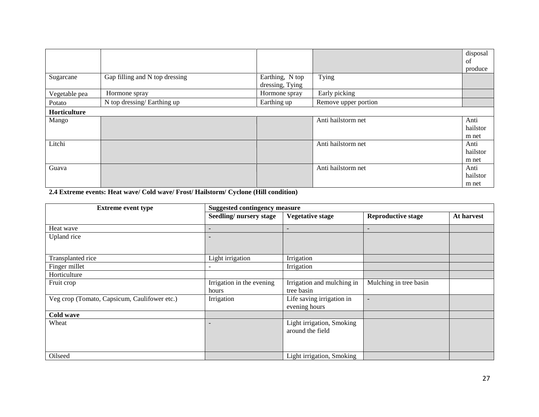|               |                                |                 |                      | disposal |
|---------------|--------------------------------|-----------------|----------------------|----------|
|               |                                |                 |                      | of       |
|               |                                |                 |                      | produce  |
| Sugarcane     | Gap filling and N top dressing | Earthing, N top | Tying                |          |
|               |                                | dressing, Tying |                      |          |
| Vegetable pea | Hormone spray                  | Hormone spray   | Early picking        |          |
| Potato        | N top dressing/Earthing up     | Earthing up     | Remove upper portion |          |
| Horticulture  |                                |                 |                      |          |
| Mango         |                                |                 | Anti hailstorm net   | Anti     |
|               |                                |                 |                      | hailstor |
|               |                                |                 |                      | m net    |
| Litchi        |                                |                 | Anti hailstorm net   | Anti     |
|               |                                |                 |                      | hailstor |
|               |                                |                 |                      | m net    |
| Guava         |                                |                 | Anti hailstorm net   | Anti     |
|               |                                |                 |                      | hailstor |
|               |                                |                 |                      | m net    |

**2.4 Extreme events: Heat wave/ Cold wave/ Frost/ Hailstorm/ Cyclone (Hill condition)**

| <b>Extreme event type</b>                    | <b>Suggested contingency measure</b> |                                               |                           |            |  |  |  |
|----------------------------------------------|--------------------------------------|-----------------------------------------------|---------------------------|------------|--|--|--|
|                                              | Seedling/nursery stage               | <b>Vegetative stage</b>                       | <b>Reproductive stage</b> | At harvest |  |  |  |
| Heat wave                                    |                                      |                                               |                           |            |  |  |  |
| Upland rice                                  | $\overline{\phantom{a}}$             |                                               |                           |            |  |  |  |
| Transplanted rice                            | Light irrigation                     | Irrigation                                    |                           |            |  |  |  |
| Finger millet                                |                                      | Irrigation                                    |                           |            |  |  |  |
| Horticulture                                 |                                      |                                               |                           |            |  |  |  |
| Fruit crop                                   | Irrigation in the evening<br>hours   | Irrigation and mulching in<br>tree basin      | Mulching in tree basin    |            |  |  |  |
| Veg crop (Tomato, Capsicum, Caulifower etc.) | Irrigation                           | Life saving irrigation in<br>evening hours    |                           |            |  |  |  |
| Cold wave                                    |                                      |                                               |                           |            |  |  |  |
| Wheat                                        |                                      | Light irrigation, Smoking<br>around the field |                           |            |  |  |  |
| Oilseed                                      |                                      | Light irrigation, Smoking                     |                           |            |  |  |  |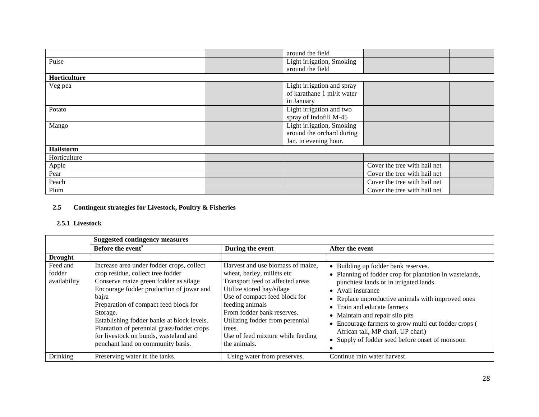|              | around the field           |                              |  |
|--------------|----------------------------|------------------------------|--|
| Pulse        | Light irrigation, Smoking  |                              |  |
|              | around the field           |                              |  |
| Horticulture |                            |                              |  |
| Veg pea      | Light irrigation and spray |                              |  |
|              | of karathane 1 ml/lt water |                              |  |
|              | in January                 |                              |  |
| Potato       | Light irrigation and two   |                              |  |
|              | spray of Indofill M-45     |                              |  |
| Mango        | Light irrigation, Smoking  |                              |  |
|              | around the orchard during  |                              |  |
|              | Jan. in evening hour.      |                              |  |
| Hailstorm    |                            |                              |  |
| Horticulture |                            |                              |  |
| Apple        |                            | Cover the tree with hail net |  |
| Pear         |                            | Cover the tree with hail net |  |
| Peach        |                            | Cover the tree with hail net |  |
| Plum         |                            | Cover the tree with hail net |  |

## **2.5 Contingent strategies for Livestock, Poultry & Fisheries**

#### **2.5.1 Livestock**

|                                    | <b>Suggested contingency measures</b>                                                                                                                                                                                                                                                                                                                                                                       |                                                                                                                                                                                                                                                                                                                      |                                                                                                                                                                                                                                                                                                                                                                                                                                      |  |  |
|------------------------------------|-------------------------------------------------------------------------------------------------------------------------------------------------------------------------------------------------------------------------------------------------------------------------------------------------------------------------------------------------------------------------------------------------------------|----------------------------------------------------------------------------------------------------------------------------------------------------------------------------------------------------------------------------------------------------------------------------------------------------------------------|--------------------------------------------------------------------------------------------------------------------------------------------------------------------------------------------------------------------------------------------------------------------------------------------------------------------------------------------------------------------------------------------------------------------------------------|--|--|
|                                    | Before the event <sup>s</sup>                                                                                                                                                                                                                                                                                                                                                                               | During the event                                                                                                                                                                                                                                                                                                     | After the event                                                                                                                                                                                                                                                                                                                                                                                                                      |  |  |
| <b>Drought</b>                     |                                                                                                                                                                                                                                                                                                                                                                                                             |                                                                                                                                                                                                                                                                                                                      |                                                                                                                                                                                                                                                                                                                                                                                                                                      |  |  |
| Feed and<br>fodder<br>availability | Increase area under fodder crops, collect<br>crop residue, collect tree fodder<br>Conserve maize green fodder as silage<br>Encourage fodder production of jowar and<br>bajra<br>Preparation of compact feed block for<br>Storage.<br>Establishing fodder banks at block levels.<br>Plantation of perennial grass/fodder crops<br>for livestock on bunds, wasteland and<br>penchant land on community basis. | Harvest and use biomass of maize.<br>wheat, barley, millets etc<br>Transport feed to affected areas<br>Utilize stored hay/silage<br>Use of compact feed block for<br>feeding animals<br>From fodder bank reserves.<br>Utilizing fodder from perennial<br>trees.<br>Use of feed mixture while feeding<br>the animals. | • Building up fodder bank reserves.<br>• Planning of fodder crop for plantation in wastelands,<br>punchiest lands or in irrigated lands.<br>• Avail insurance<br>• Replace unproductive animals with improved ones<br>• Train and educate farmers<br>• Maintain and repair silo pits<br>• Encourage farmers to grow multi cut fodder crops (<br>African tall, MP chari, UP chari)<br>• Supply of fodder seed before onset of monsoon |  |  |
| <b>Drinking</b>                    | Preserving water in the tanks.                                                                                                                                                                                                                                                                                                                                                                              | Using water from preserves.                                                                                                                                                                                                                                                                                          | Continue rain water harvest.                                                                                                                                                                                                                                                                                                                                                                                                         |  |  |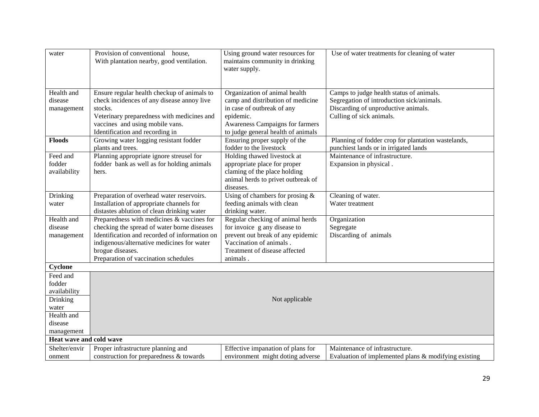| water                   | Provision of conventional house,                                                             | Using ground water resources for                             | Use of water treatments for cleaning of water        |
|-------------------------|----------------------------------------------------------------------------------------------|--------------------------------------------------------------|------------------------------------------------------|
|                         | With plantation nearby, good ventilation.                                                    | maintains community in drinking                              |                                                      |
|                         |                                                                                              | water supply.                                                |                                                      |
|                         |                                                                                              |                                                              |                                                      |
|                         |                                                                                              |                                                              |                                                      |
| Health and              | Ensure regular health checkup of animals to                                                  | Organization of animal health                                | Camps to judge health status of animals.             |
| disease                 | check incidences of any disease annoy live                                                   | camp and distribution of medicine                            | Segregation of introduction sick/animals.            |
| management              | stocks.                                                                                      | in case of outbreak of any                                   | Discarding of unproductive animals.                  |
|                         | Veterinary preparedness with medicines and                                                   | epidemic.                                                    | Culling of sick animals.                             |
|                         | vaccines and using mobile vans.                                                              | Awareness Campaigns for farmers                              |                                                      |
|                         | Identification and recording in                                                              | to judge general health of animals                           |                                                      |
| <b>Floods</b>           | Growing water logging resistant fodder                                                       | Ensuring proper supply of the                                | Planning of fodder crop for plantation wastelands,   |
|                         | plants and trees.                                                                            | fodder to the livestock                                      | punchiest lands or in irrigated lands                |
| Feed and                | Planning appropriate ignore streusel for                                                     | Holding thawed livestock at                                  | Maintenance of infrastructure.                       |
| fodder                  | fodder bank as well as for holding animals                                                   | appropriate place for proper                                 | Expansion in physical.                               |
| availability            | hers.                                                                                        | claming of the place holding                                 |                                                      |
|                         |                                                                                              | animal herds to privet outbreak of                           |                                                      |
|                         |                                                                                              | diseases.                                                    |                                                      |
| Drinking                | Preparation of overhead water reservoirs.                                                    | Using of chambers for prosing $\&$                           | Cleaning of water.                                   |
|                         | Installation of appropriate channels for                                                     | feeding animals with clean                                   | Water treatment                                      |
| water                   | distastes ablution of clean drinking water                                                   | drinking water.                                              |                                                      |
| Health and              | Preparedness with medicines & vaccines for                                                   |                                                              |                                                      |
|                         |                                                                                              | Regular checking of animal herds                             | Organization                                         |
| disease                 | checking the spread of water borne diseases<br>Identification and recorded of information on | for invoice g any disease to                                 | Segregate                                            |
| management              |                                                                                              | prevent out break of any epidemic<br>Vaccination of animals. | Discarding of animals                                |
|                         | indigenous/alternative medicines for water                                                   |                                                              |                                                      |
|                         | brogue diseases.                                                                             | Treatment of disease affected                                |                                                      |
|                         | Preparation of vaccination schedules                                                         | animals.                                                     |                                                      |
| Cyclone                 |                                                                                              |                                                              |                                                      |
| Feed and                |                                                                                              |                                                              |                                                      |
| fodder                  |                                                                                              |                                                              |                                                      |
| availability            |                                                                                              |                                                              |                                                      |
| Drinking                |                                                                                              | Not applicable                                               |                                                      |
| water                   |                                                                                              |                                                              |                                                      |
| Health and              |                                                                                              |                                                              |                                                      |
| disease                 |                                                                                              |                                                              |                                                      |
| management              |                                                                                              |                                                              |                                                      |
| Heat wave and cold wave |                                                                                              |                                                              |                                                      |
| Shelter/envir           | Proper infrastructure planning and                                                           | Effective impanation of plans for                            | Maintenance of infrastructure.                       |
| onment                  | construction for preparedness & towards                                                      | environment might doting adverse                             | Evaluation of implemented plans & modifying existing |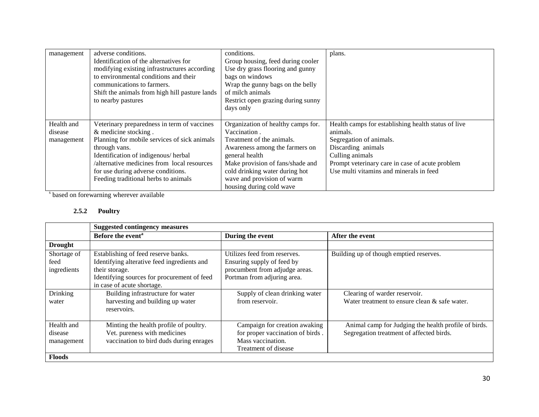| management                 | adverse conditions.                            | conditions.                        | plans.                                              |
|----------------------------|------------------------------------------------|------------------------------------|-----------------------------------------------------|
|                            | Identification of the alternatives for         | Group housing, feed during cooler  |                                                     |
|                            | modifying existing infrastructures according   | Use dry grass flooring and gunny   |                                                     |
|                            | to environmental conditions and their          | bags on windows                    |                                                     |
| communications to farmers. |                                                | Wrap the gunny bags on the belly   |                                                     |
|                            | Shift the animals from high hill pasture lands | of milch animals                   |                                                     |
|                            | to nearby pastures                             | Restrict open grazing during sunny |                                                     |
|                            |                                                | days only                          |                                                     |
|                            |                                                |                                    |                                                     |
| Health and                 | Veterinary preparedness in term of vaccines    | Organization of healthy camps for. | Health camps for establishing health status of live |
| disease                    | & medicine stocking.                           | Vaccination.                       | animals.                                            |
| management                 | Planning for mobile services of sick animals   | Treatment of the animals.          | Segregation of animals.                             |
|                            | through vans.                                  | Awareness among the farmers on     | Discarding animals                                  |
|                            | Identification of indigenous/herbal            | general health                     | Culling animals                                     |
|                            | /alternative medicines from local resources    | Make provision of fans/shade and   | Prompt veterinary care in case of acute problem     |
|                            | for use during adverse conditions.             | cold drinking water during hot     | Use multi vitamins and minerals in feed             |
|                            | Feeding traditional herbs to animals           | wave and provision of warm         |                                                     |
|                            |                                                | housing during cold wave           |                                                     |

s based on forewarning wherever available

#### **2.5.2 Poultry**

|                | <b>Suggested contingency measures</b>       |                                  |                                                      |  |
|----------------|---------------------------------------------|----------------------------------|------------------------------------------------------|--|
|                | Before the event <sup>a</sup>               | During the event                 | After the event                                      |  |
| <b>Drought</b> |                                             |                                  |                                                      |  |
| Shortage of    | Establishing of feed reserve banks.         | Utilizes feed from reserves.     | Building up of though emptied reserves.              |  |
| feed           | Identifying alterative feed ingredients and | Ensuring supply of feed by       |                                                      |  |
| ingredients    | their storage.                              | procumbent from adjudge areas.   |                                                      |  |
|                | Identifying sources for procurement of feed | Portman from adjuring area.      |                                                      |  |
|                | in case of acute shortage.                  |                                  |                                                      |  |
| Drinking       | Building infrastructure for water           | Supply of clean drinking water   | Clearing of warder reservoir.                        |  |
| water          | harvesting and building up water            | from reservoir.                  | Water treatment to ensure clean & safe water.        |  |
|                | reservoirs.                                 |                                  |                                                      |  |
|                |                                             |                                  |                                                      |  |
| Health and     | Minting the health profile of poultry.      | Campaign for creation awaking    | Animal camp for Judging the health profile of birds. |  |
| disease        | Vet. pureness with medicines                | for proper vaccination of birds. | Segregation treatment of affected birds.             |  |
| management     | vaccination to bird duds during enrages     | Mass vaccination.                |                                                      |  |
|                |                                             | Treatment of disease             |                                                      |  |
| <b>Floods</b>  |                                             |                                  |                                                      |  |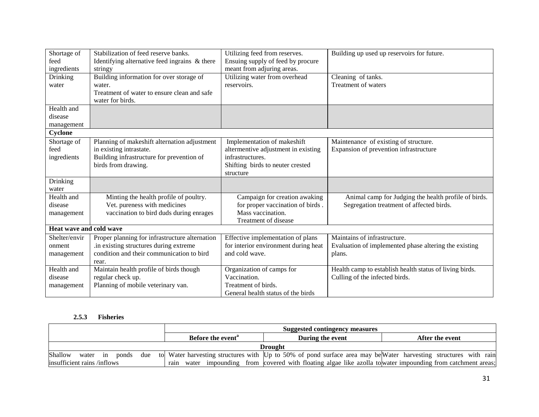| Shortage of<br>feed     | Stabilization of feed reserve banks.<br>Identifying alternative feed ingrains & there | Utilizing feed from reserves.<br>Ensuing supply of feed by procure | Building up used up reservoirs for future.              |
|-------------------------|---------------------------------------------------------------------------------------|--------------------------------------------------------------------|---------------------------------------------------------|
| ingredients             | stringy                                                                               | meant from adjuring areas.                                         |                                                         |
| Drinking                | Building information for over storage of                                              | Utilizing water from overhead                                      | Cleaning of tanks.                                      |
| water                   | water.                                                                                | reservoirs.                                                        | Treatment of waters                                     |
|                         | Treatment of water to ensure clean and safe                                           |                                                                    |                                                         |
|                         | water for birds.                                                                      |                                                                    |                                                         |
| Health and              |                                                                                       |                                                                    |                                                         |
| disease                 |                                                                                       |                                                                    |                                                         |
| management              |                                                                                       |                                                                    |                                                         |
| Cyclone                 |                                                                                       |                                                                    |                                                         |
| Shortage of             | Planning of makeshift alternation adjustment                                          | Implementation of makeshift                                        | Maintenance of existing of structure.                   |
| feed                    | in existing intrastate.                                                               | altermentive adjustment in existing                                | Expansion of prevention infrastructure                  |
| ingredients             | Building infrastructure for prevention of                                             | infrastructures.                                                   |                                                         |
|                         | birds from drawing.                                                                   | Shifting birds to neuter crested                                   |                                                         |
|                         |                                                                                       | structure                                                          |                                                         |
| Drinking                |                                                                                       |                                                                    |                                                         |
| water                   |                                                                                       |                                                                    |                                                         |
| Health and              | Minting the health profile of poultry.                                                | Campaign for creation awaking                                      | Animal camp for Judging the health profile of birds.    |
| disease                 | Vet. pureness with medicines                                                          | for proper vaccination of birds.                                   | Segregation treatment of affected birds.                |
| management              | vaccination to bird duds during enrages                                               | Mass vaccination.                                                  |                                                         |
|                         |                                                                                       | Treatment of disease                                               |                                                         |
| Heat wave and cold wave |                                                                                       |                                                                    |                                                         |
| Shelter/envir           | Proper planning for infrastructure alternation                                        | Effective implementation of plans                                  | Maintains of infrastructure.                            |
| onment                  | in existing structures during extreme                                                 | for interior environment during heat                               | Evaluation of implemented phase altering the existing   |
| management              | condition and their communication to bird                                             | and cold wave.                                                     | plans.                                                  |
|                         | rear.                                                                                 |                                                                    |                                                         |
| Health and              | Maintain health profile of birds though                                               | Organization of camps for                                          | Health camp to establish health status of living birds. |
| disease                 | regular check up.                                                                     | Vaccination.                                                       | Culling of the infected birds.                          |
| management              | Planning of mobile veterinary van.                                                    | Treatment of birds.                                                |                                                         |
|                         |                                                                                       | General health status of the birds                                 |                                                         |

#### **2.5.3 Fisheries**

|                                        | Suggested contingency measures |                                                                                                                 |                 |  |  |
|----------------------------------------|--------------------------------|-----------------------------------------------------------------------------------------------------------------|-----------------|--|--|
|                                        | Before the event <sup>a</sup>  | During the event                                                                                                | After the event |  |  |
| Drought                                |                                |                                                                                                                 |                 |  |  |
| Shallow<br>water<br>due<br>ponds<br>1n |                                | to Water harvesting structures with Up to 50% of pond surface area may be Water harvesting structures with rain |                 |  |  |
| insufficient rains /inflows            | rain                           | water impounding from covered with floating algae like azolla to water impounding from catchment areas;         |                 |  |  |